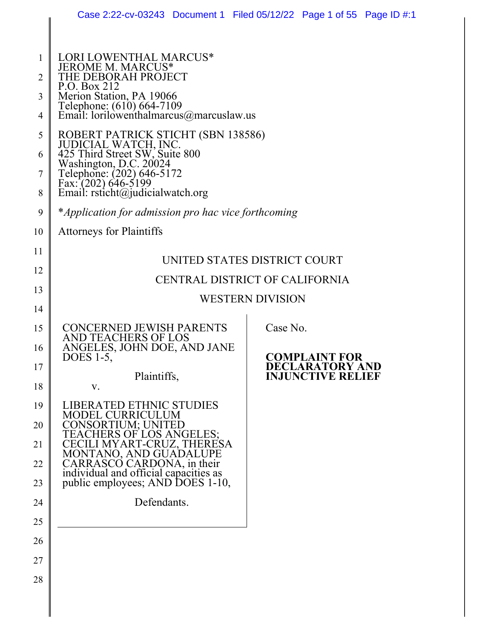|                | Case 2:22-cv-03243 Document 1 Filed 05/12/22 Page 1 of 55 Page ID #:1                                                  |  |  |          |                                         |  |  |
|----------------|------------------------------------------------------------------------------------------------------------------------|--|--|----------|-----------------------------------------|--|--|
|                |                                                                                                                        |  |  |          |                                         |  |  |
| 1              | LORI LOWENTHAL MARCUS*<br>JEROME M. MARCUS*                                                                            |  |  |          |                                         |  |  |
| $\overline{2}$ | THE DEBORAH PROJECT<br>P.O. Box 212                                                                                    |  |  |          |                                         |  |  |
| 3<br>4         | Merion Station, PA 19066<br>Telephone: (610) 664-7109<br>Email: lorilowenthalmarcus@marcuslaw.us                       |  |  |          |                                         |  |  |
| 5<br>6         | ROBERT PATRICK STICHT (SBN 138586)<br>JUDICIAL WATCH, INC.<br>425 Third Street SW, Suite 800<br>Washington, D.C. 20024 |  |  |          |                                         |  |  |
| 7<br>8         | Telephone: (202) 646-5172<br>Fax: (202) 646-5199<br>Email: $rsticht@judicialwatch.org$                                 |  |  |          |                                         |  |  |
| 9              | *Application for admission pro hac vice forthcoming                                                                    |  |  |          |                                         |  |  |
| 10             | <b>Attorneys for Plaintiffs</b>                                                                                        |  |  |          |                                         |  |  |
| 11             | UNITED STATES DISTRICT COURT                                                                                           |  |  |          |                                         |  |  |
| 12             | CENTRAL DISTRICT OF CALIFORNIA                                                                                         |  |  |          |                                         |  |  |
| 13             | <b>WESTERN DIVISION</b>                                                                                                |  |  |          |                                         |  |  |
| 14             |                                                                                                                        |  |  |          |                                         |  |  |
| 15<br>16       | <b>CONCERNED JEWISH PARENTS</b><br>AND TEACHERS OF LOS<br>ANGELES, JOHN DOE, AND JANE                                  |  |  | Case No. |                                         |  |  |
| 17             | DOES 1-5,                                                                                                              |  |  |          | <b>COMPLAINT FOR</b><br>DECLARATORY AND |  |  |
| 18             | Plaintiffs,<br>V.                                                                                                      |  |  |          | <b>INJUNCTIVE RELIEF</b>                |  |  |
| 19             | <b>LIBERATED ETHNIC STUDIES</b><br>MODEL CURRICULUM                                                                    |  |  |          |                                         |  |  |
| 20<br>21       | CONSORTIUM; UNITED<br>TEACHERS OF LOS ANGELES;<br>CECILI MYART-CRUZ, THERESA<br>MONTANO, AND GUADALUPE                 |  |  |          |                                         |  |  |
| 22             |                                                                                                                        |  |  |          |                                         |  |  |
| 23             | CARRASCO CARDONA, in their<br>individual and official capacities as<br>public employees; AND DOES 1-10,                |  |  |          |                                         |  |  |
| 24             | Defendants.                                                                                                            |  |  |          |                                         |  |  |
| 25             |                                                                                                                        |  |  |          |                                         |  |  |
| 26             |                                                                                                                        |  |  |          |                                         |  |  |
| 27             |                                                                                                                        |  |  |          |                                         |  |  |
| 28             |                                                                                                                        |  |  |          |                                         |  |  |
|                |                                                                                                                        |  |  |          |                                         |  |  |
|                |                                                                                                                        |  |  |          |                                         |  |  |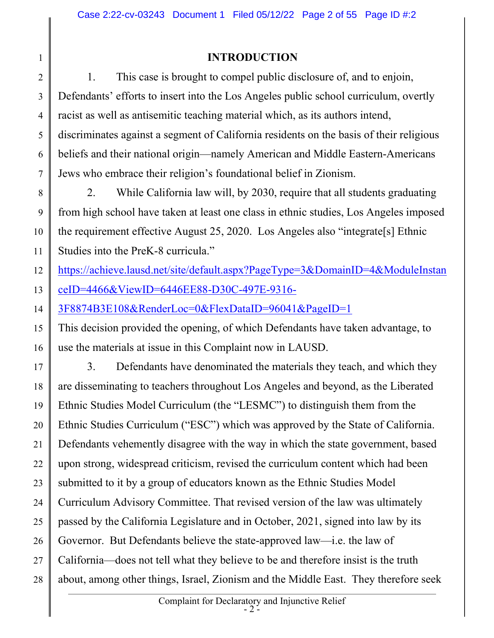## INTRODUCTION

2 3 4 5 6 7 1. This case is brought to compel public disclosure of, and to enjoin, Defendants' efforts to insert into the Los Angeles public school curriculum, overtly racist as well as antisemitic teaching material which, as its authors intend, discriminates against a segment of California residents on the basis of their religious beliefs and their national origin—namely American and Middle Eastern-Americans Jews who embrace their religion's foundational belief in Zionism.

8 9 10 11 2. While California law will, by 2030, require that all students graduating from high school have taken at least one class in ethnic studies, Los Angeles imposed the requirement effective August 25, 2020. Los Angeles also "integrate[s] Ethnic Studies into the PreK-8 curricula."

12 https://achieve.lausd.net/site/default.aspx?PageType=3&DomainID=4&ModuleInstan

13 ceID=4466&ViewID=6446EE88-D30C-497E-9316-

1

14 3F8874B3E108&RenderLoc=0&FlexDataID=96041&PageID=1

15 16 This decision provided the opening, of which Defendants have taken advantage, to use the materials at issue in this Complaint now in LAUSD.

17 18 19 20 21 22 23 24 25 26 27 28 3. Defendants have denominated the materials they teach, and which they are disseminating to teachers throughout Los Angeles and beyond, as the Liberated Ethnic Studies Model Curriculum (the "LESMC") to distinguish them from the Ethnic Studies Curriculum ("ESC") which was approved by the State of California. Defendants vehemently disagree with the way in which the state government, based upon strong, widespread criticism, revised the curriculum content which had been submitted to it by a group of educators known as the Ethnic Studies Model Curriculum Advisory Committee. That revised version of the law was ultimately passed by the California Legislature and in October, 2021, signed into law by its Governor. But Defendants believe the state-approved law—i.e. the law of California—does not tell what they believe to be and therefore insist is the truth about, among other things, Israel, Zionism and the Middle East. They therefore seek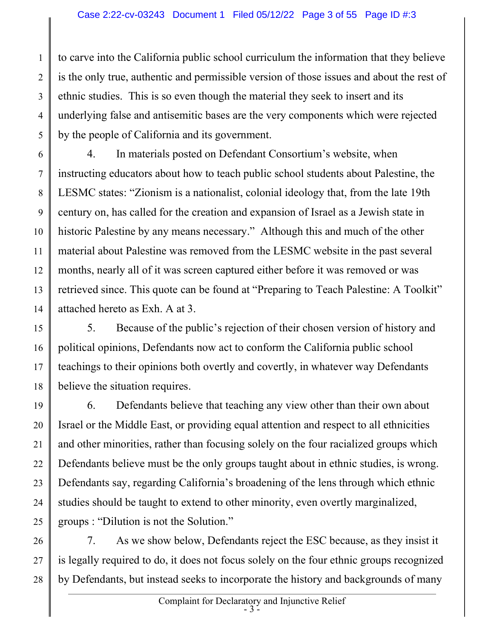1 2 3 4 5 to carve into the California public school curriculum the information that they believe is the only true, authentic and permissible version of those issues and about the rest of ethnic studies. This is so even though the material they seek to insert and its underlying false and antisemitic bases are the very components which were rejected by the people of California and its government.

6 7 8 9 10 11 12 13 14 4. In materials posted on Defendant Consortium's website, when instructing educators about how to teach public school students about Palestine, the LESMC states: "Zionism is a nationalist, colonial ideology that, from the late 19th century on, has called for the creation and expansion of Israel as a Jewish state in historic Palestine by any means necessary." Although this and much of the other material about Palestine was removed from the LESMC website in the past several months, nearly all of it was screen captured either before it was removed or was retrieved since. This quote can be found at "Preparing to Teach Palestine: A Toolkit" attached hereto as Exh. A at 3.

15 16 17 18 5. Because of the public's rejection of their chosen version of history and political opinions, Defendants now act to conform the California public school teachings to their opinions both overtly and covertly, in whatever way Defendants believe the situation requires.

19 20 21 22 23 24 25 6. Defendants believe that teaching any view other than their own about Israel or the Middle East, or providing equal attention and respect to all ethnicities and other minorities, rather than focusing solely on the four racialized groups which Defendants believe must be the only groups taught about in ethnic studies, is wrong. Defendants say, regarding California's broadening of the lens through which ethnic studies should be taught to extend to other minority, even overtly marginalized, groups : "Dilution is not the Solution."

26 27 28 7. As we show below, Defendants reject the ESC because, as they insist it is legally required to do, it does not focus solely on the four ethnic groups recognized by Defendants, but instead seeks to incorporate the history and backgrounds of many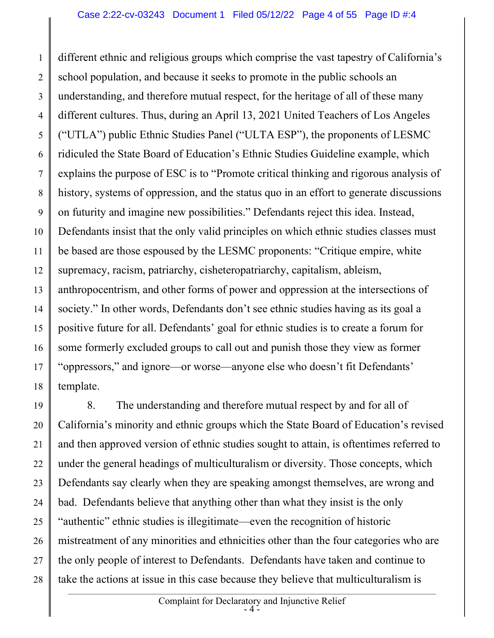1 2 3 4 5 6 7 8 9 10 11 12 13 14 15 16 17 18 different ethnic and religious groups which comprise the vast tapestry of California's school population, and because it seeks to promote in the public schools an understanding, and therefore mutual respect, for the heritage of all of these many different cultures. Thus, during an April 13, 2021 United Teachers of Los Angeles ("UTLA") public Ethnic Studies Panel ("ULTA ESP"), the proponents of LESMC ridiculed the State Board of Education's Ethnic Studies Guideline example, which explains the purpose of ESC is to "Promote critical thinking and rigorous analysis of history, systems of oppression, and the status quo in an effort to generate discussions on futurity and imagine new possibilities." Defendants reject this idea. Instead, Defendants insist that the only valid principles on which ethnic studies classes must be based are those espoused by the LESMC proponents: "Critique empire, white supremacy, racism, patriarchy, cisheteropatriarchy, capitalism, ableism, anthropocentrism, and other forms of power and oppression at the intersections of society." In other words, Defendants don't see ethnic studies having as its goal a positive future for all. Defendants' goal for ethnic studies is to create a forum for some formerly excluded groups to call out and punish those they view as former "oppressors," and ignore—or worse—anyone else who doesn't fit Defendants' template.

19 20 21 22 23 24 25 26 27 28 8. The understanding and therefore mutual respect by and for all of California's minority and ethnic groups which the State Board of Education's revised and then approved version of ethnic studies sought to attain, is oftentimes referred to under the general headings of multiculturalism or diversity. Those concepts, which Defendants say clearly when they are speaking amongst themselves, are wrong and bad. Defendants believe that anything other than what they insist is the only "authentic" ethnic studies is illegitimate—even the recognition of historic mistreatment of any minorities and ethnicities other than the four categories who are the only people of interest to Defendants. Defendants have taken and continue to take the actions at issue in this case because they believe that multiculturalism is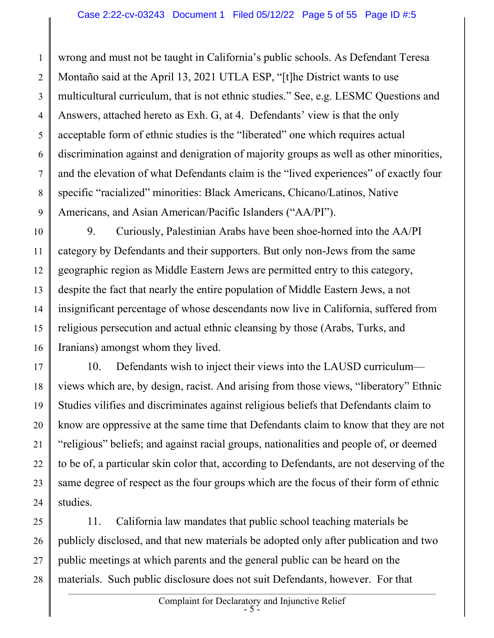1 2 3 4 5 6 7 8 9 wrong and must not be taught in California's public schools. As Defendant Teresa Montaño said at the April 13, 2021 UTLA ESP, "[t]he District wants to use multicultural curriculum, that is not ethnic studies." See, e.g. LESMC Questions and Answers, attached hereto as Exh. G, at 4. Defendants' view is that the only acceptable form of ethnic studies is the "liberated" one which requires actual discrimination against and denigration of majority groups as well as other minorities, and the elevation of what Defendants claim is the "lived experiences" of exactly four specific "racialized" minorities: Black Americans, Chicano/Latinos, Native Americans, and Asian American/Pacific Islanders ("AA/PI").

10 11 12 13 14 15 16 9. Curiously, Palestinian Arabs have been shoe-horned into the AA/PI category by Defendants and their supporters. But only non-Jews from the same geographic region as Middle Eastern Jews are permitted entry to this category, despite the fact that nearly the entire population of Middle Eastern Jews, a not insignificant percentage of whose descendants now live in California, suffered from religious persecution and actual ethnic cleansing by those (Arabs, Turks, and Iranians) amongst whom they lived.

17 18 19 20 21 22 23 24 10. Defendants wish to inject their views into the LAUSD curriculum views which are, by design, racist. And arising from those views, "liberatory" Ethnic Studies vilifies and discriminates against religious beliefs that Defendants claim to know are oppressive at the same time that Defendants claim to know that they are not "religious" beliefs; and against racial groups, nationalities and people of, or deemed to be of, a particular skin color that, according to Defendants, are not deserving of the same degree of respect as the four groups which are the focus of their form of ethnic studies.

25 26 27 28 11. California law mandates that public school teaching materials be publicly disclosed, and that new materials be adopted only after publication and two public meetings at which parents and the general public can be heard on the materials. Such public disclosure does not suit Defendants, however. For that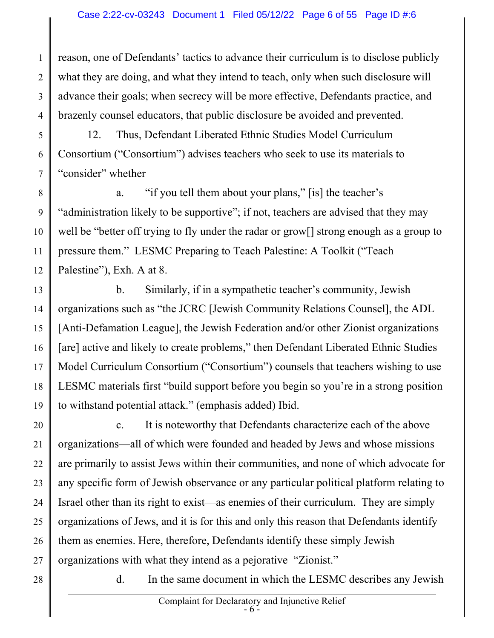1 2 3 4 reason, one of Defendants' tactics to advance their curriculum is to disclose publicly what they are doing, and what they intend to teach, only when such disclosure will advance their goals; when secrecy will be more effective, Defendants practice, and brazenly counsel educators, that public disclosure be avoided and prevented.

5 6 7 12. Thus, Defendant Liberated Ethnic Studies Model Curriculum Consortium ("Consortium") advises teachers who seek to use its materials to "consider" whether

8 9 10 11 12 a. "if you tell them about your plans," [is] the teacher's "administration likely to be supportive"; if not, teachers are advised that they may well be "better off trying to fly under the radar or grow[] strong enough as a group to pressure them." LESMC Preparing to Teach Palestine: A Toolkit ("Teach Palestine"), Exh. A at 8.

13 14 15 16 17 18 19 b. Similarly, if in a sympathetic teacher's community, Jewish organizations such as "the JCRC [Jewish Community Relations Counsel], the ADL [Anti-Defamation League], the Jewish Federation and/or other Zionist organizations [are] active and likely to create problems," then Defendant Liberated Ethnic Studies Model Curriculum Consortium ("Consortium") counsels that teachers wishing to use LESMC materials first "build support before you begin so you're in a strong position to withstand potential attack." (emphasis added) Ibid.

20 21 22 23 24 25 26 27 c. It is noteworthy that Defendants characterize each of the above organizations—all of which were founded and headed by Jews and whose missions are primarily to assist Jews within their communities, and none of which advocate for any specific form of Jewish observance or any particular political platform relating to Israel other than its right to exist—as enemies of their curriculum. They are simply organizations of Jews, and it is for this and only this reason that Defendants identify them as enemies. Here, therefore, Defendants identify these simply Jewish organizations with what they intend as a pejorative "Zionist."

28

d. In the same document in which the LESMC describes any Jewish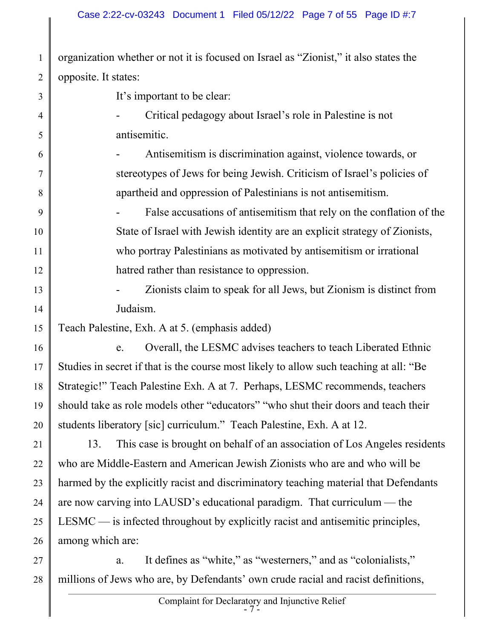1 2 organization whether or not it is focused on Israel as "Zionist," it also states the opposite. It states:

3 4 5 6 7 8 9 10 11 12 13 14 15 16 17 18 19 20 21 22 23 24 25 26 It's important to be clear: - Critical pedagogy about Israel's role in Palestine is not antisemitic. Antisemitism is discrimination against, violence towards, or stereotypes of Jews for being Jewish. Criticism of Israel's policies of apartheid and oppression of Palestinians is not antisemitism. False accusations of antisemitism that rely on the conflation of the State of Israel with Jewish identity are an explicit strategy of Zionists, who portray Palestinians as motivated by antisemitism or irrational hatred rather than resistance to oppression. - Zionists claim to speak for all Jews, but Zionism is distinct from Judaism. Teach Palestine, Exh. A at 5. (emphasis added) e. Overall, the LESMC advises teachers to teach Liberated Ethnic Studies in secret if that is the course most likely to allow such teaching at all: "Be Strategic!" Teach Palestine Exh. A at 7. Perhaps, LESMC recommends, teachers should take as role models other "educators" "who shut their doors and teach their students liberatory [sic] curriculum." Teach Palestine, Exh. A at 12. 13. This case is brought on behalf of an association of Los Angeles residents who are Middle-Eastern and American Jewish Zionists who are and who will be harmed by the explicitly racist and discriminatory teaching material that Defendants are now carving into LAUSD's educational paradigm. That curriculum — the LESMC — is infected throughout by explicitly racist and antisemitic principles, among which are:

27 28 a. It defines as "white," as "westerners," and as "colonialists," millions of Jews who are, by Defendants' own crude racial and racist definitions,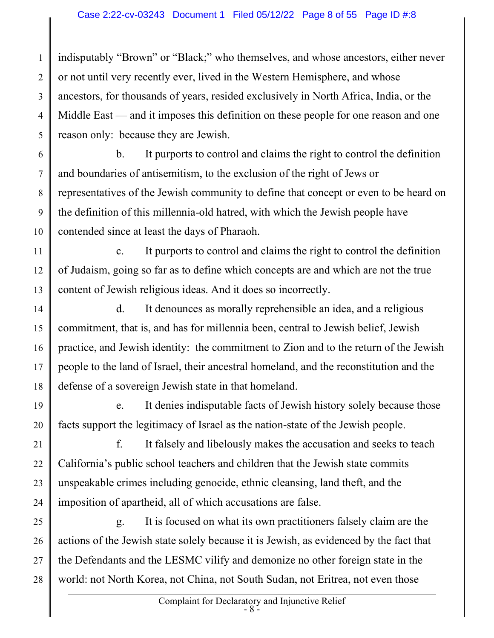1 2 3 4 5 indisputably "Brown" or "Black;" who themselves, and whose ancestors, either never or not until very recently ever, lived in the Western Hemisphere, and whose ancestors, for thousands of years, resided exclusively in North Africa, India, or the Middle East — and it imposes this definition on these people for one reason and one reason only: because they are Jewish.

6 7 8 9 10 b. It purports to control and claims the right to control the definition and boundaries of antisemitism, to the exclusion of the right of Jews or representatives of the Jewish community to define that concept or even to be heard on the definition of this millennia-old hatred, with which the Jewish people have contended since at least the days of Pharaoh.

11 12 13 c. It purports to control and claims the right to control the definition of Judaism, going so far as to define which concepts are and which are not the true content of Jewish religious ideas. And it does so incorrectly.

14 15 16 17 18 d. It denounces as morally reprehensible an idea, and a religious commitment, that is, and has for millennia been, central to Jewish belief, Jewish practice, and Jewish identity: the commitment to Zion and to the return of the Jewish people to the land of Israel, their ancestral homeland, and the reconstitution and the defense of a sovereign Jewish state in that homeland.

19 20 e. It denies indisputable facts of Jewish history solely because those facts support the legitimacy of Israel as the nation-state of the Jewish people.

21 22 23 24 f. It falsely and libelously makes the accusation and seeks to teach California's public school teachers and children that the Jewish state commits unspeakable crimes including genocide, ethnic cleansing, land theft, and the imposition of apartheid, all of which accusations are false.

25 26 27 28 g. It is focused on what its own practitioners falsely claim are the actions of the Jewish state solely because it is Jewish, as evidenced by the fact that the Defendants and the LESMC vilify and demonize no other foreign state in the world: not North Korea, not China, not South Sudan, not Eritrea, not even those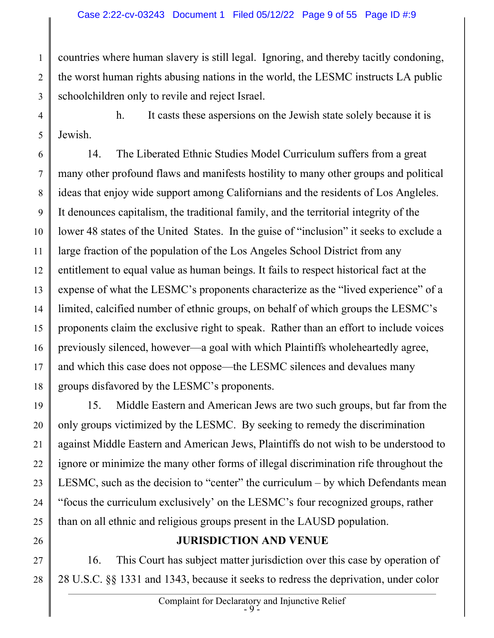1 2 3 countries where human slavery is still legal. Ignoring, and thereby tacitly condoning, the worst human rights abusing nations in the world, the LESMC instructs LA public schoolchildren only to revile and reject Israel.

4 5 h. It casts these aspersions on the Jewish state solely because it is Jewish.

6 7 8 9 10 11 12 13 14 15 16 17 18 14. The Liberated Ethnic Studies Model Curriculum suffers from a great many other profound flaws and manifests hostility to many other groups and political ideas that enjoy wide support among Californians and the residents of Los Angleles. It denounces capitalism, the traditional family, and the territorial integrity of the lower 48 states of the United States. In the guise of "inclusion" it seeks to exclude a large fraction of the population of the Los Angeles School District from any entitlement to equal value as human beings. It fails to respect historical fact at the expense of what the LESMC's proponents characterize as the "lived experience" of a limited, calcified number of ethnic groups, on behalf of which groups the LESMC's proponents claim the exclusive right to speak. Rather than an effort to include voices previously silenced, however—a goal with which Plaintiffs wholeheartedly agree, and which this case does not oppose—the LESMC silences and devalues many groups disfavored by the LESMC's proponents.

19 20 21 22 23 24 25 15. Middle Eastern and American Jews are two such groups, but far from the only groups victimized by the LESMC. By seeking to remedy the discrimination against Middle Eastern and American Jews, Plaintiffs do not wish to be understood to ignore or minimize the many other forms of illegal discrimination rife throughout the LESMC, such as the decision to "center" the curriculum – by which Defendants mean "focus the curriculum exclusively' on the LESMC's four recognized groups, rather than on all ethnic and religious groups present in the LAUSD population.

#### JURISDICTION AND VENUE

27 28 16. This Court has subject matter jurisdiction over this case by operation of 28 U.S.C. §§ 1331 and 1343, because it seeks to redress the deprivation, under color

26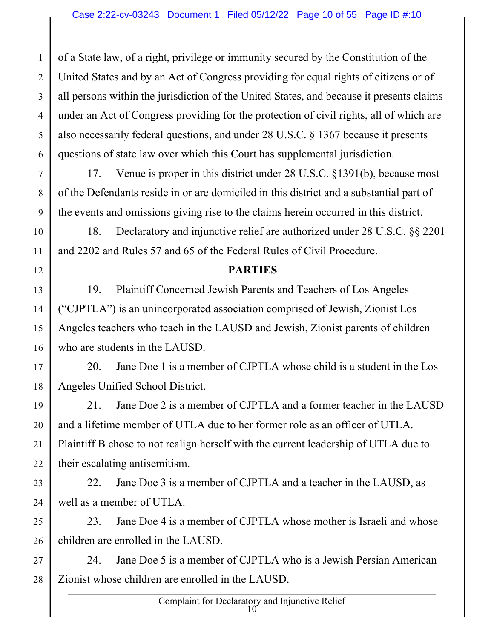1 2 3 4 5 6 of a State law, of a right, privilege or immunity secured by the Constitution of the United States and by an Act of Congress providing for equal rights of citizens or of all persons within the jurisdiction of the United States, and because it presents claims under an Act of Congress providing for the protection of civil rights, all of which are also necessarily federal questions, and under 28 U.S.C. § 1367 because it presents questions of state law over which this Court has supplemental jurisdiction.

7 8 9 17. Venue is proper in this district under 28 U.S.C. §1391(b), because most of the Defendants reside in or are domiciled in this district and a substantial part of the events and omissions giving rise to the claims herein occurred in this district.

 18. Declaratory and injunctive relief are authorized under 28 U.S.C. §§ 2201 and 2202 and Rules 57 and 65 of the Federal Rules of Civil Procedure.

10

11

12

#### PARTIES

13 14 15 16 19. Plaintiff Concerned Jewish Parents and Teachers of Los Angeles ("CJPTLA") is an unincorporated association comprised of Jewish, Zionist Los Angeles teachers who teach in the LAUSD and Jewish, Zionist parents of children who are students in the LAUSD.

17 18 20. Jane Doe 1 is a member of CJPTLA whose child is a student in the Los Angeles Unified School District.

19 20 21 22 21. Jane Doe 2 is a member of CJPTLA and a former teacher in the LAUSD and a lifetime member of UTLA due to her former role as an officer of UTLA. Plaintiff B chose to not realign herself with the current leadership of UTLA due to their escalating antisemitism.

23 24 22. Jane Doe 3 is a member of CJPTLA and a teacher in the LAUSD, as well as a member of UTLA.

25 26 23. Jane Doe 4 is a member of CJPTLA whose mother is Israeli and whose children are enrolled in the LAUSD.

27 28 24. Jane Doe 5 is a member of CJPTLA who is a Jewish Persian American Zionist whose children are enrolled in the LAUSD.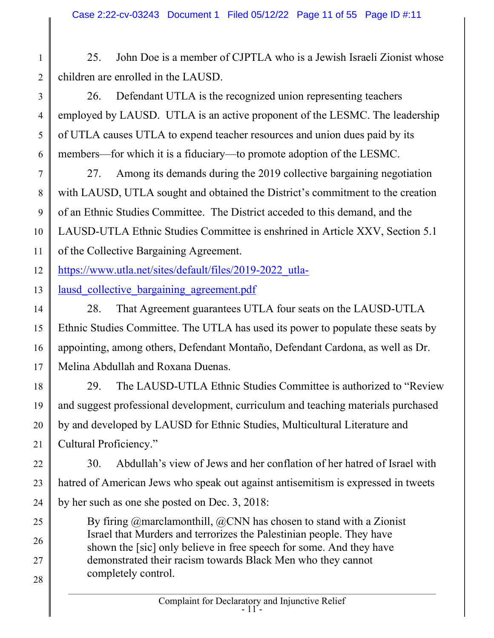25. John Doe is a member of CJPTLA who is a Jewish Israeli Zionist whose children are enrolled in the LAUSD.

4 26. Defendant UTLA is the recognized union representing teachers employed by LAUSD. UTLA is an active proponent of the LESMC. The leadership of UTLA causes UTLA to expend teacher resources and union dues paid by its members—for which it is a fiduciary—to promote adoption of the LESMC.

7 8 9 10 11 27. Among its demands during the 2019 collective bargaining negotiation with LAUSD, UTLA sought and obtained the District's commitment to the creation of an Ethnic Studies Committee. The District acceded to this demand, and the LAUSD-UTLA Ethnic Studies Committee is enshrined in Article XXV, Section 5.1 of the Collective Bargaining Agreement.

12 https://www.utla.net/sites/default/files/2019-2022\_utla-

13 lausd collective bargaining agreement.pdf

1

2

3

5

6

25

26

27

28

14 15 16 17 28. That Agreement guarantees UTLA four seats on the LAUSD-UTLA Ethnic Studies Committee. The UTLA has used its power to populate these seats by appointing, among others, Defendant Montaño, Defendant Cardona, as well as Dr. Melina Abdullah and Roxana Duenas.

18 19 20 21 29. The LAUSD-UTLA Ethnic Studies Committee is authorized to "Review and suggest professional development, curriculum and teaching materials purchased by and developed by LAUSD for Ethnic Studies, Multicultural Literature and Cultural Proficiency."

- 22 23 24 30. Abdullah's view of Jews and her conflation of her hatred of Israel with hatred of American Jews who speak out against antisemitism is expressed in tweets by her such as one she posted on Dec. 3, 2018:
	- By firing @marclamonthill, @CNN has chosen to stand with a Zionist Israel that Murders and terrorizes the Palestinian people. They have shown the [sic] only believe in free speech for some. And they have demonstrated their racism towards Black Men who they cannot completely control.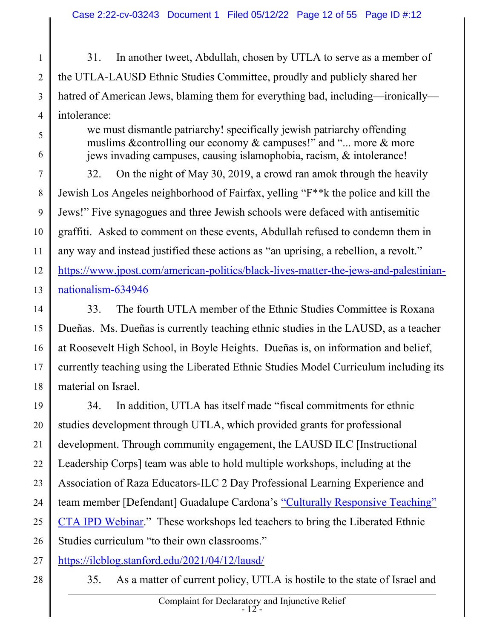1 2 3 4 31. In another tweet, Abdullah, chosen by UTLA to serve as a member of the UTLA-LAUSD Ethnic Studies Committee, proudly and publicly shared her hatred of American Jews, blaming them for everything bad, including—ironically intolerance:

> we must dismantle patriarchy! specifically jewish patriarchy offending muslims &controlling our economy & campuses!" and "... more & more jews invading campuses, causing islamophobia, racism, & intolerance!

7 8 9 10 11 12 13 32. On the night of May 30, 2019, a crowd ran amok through the heavily Jewish Los Angeles neighborhood of Fairfax, yelling "F\*\*k the police and kill the Jews!" Five synagogues and three Jewish schools were defaced with antisemitic graffiti. Asked to comment on these events, Abdullah refused to condemn them in any way and instead justified these actions as "an uprising, a rebellion, a revolt." https://www.jpost.com/american-politics/black-lives-matter-the-jews-and-palestiniannationalism-634946

14 15 16 17 18 33. The fourth UTLA member of the Ethnic Studies Committee is Roxana Dueñas. Ms. Dueñas is currently teaching ethnic studies in the LAUSD, as a teacher at Roosevelt High School, in Boyle Heights. Dueñas is, on information and belief, currently teaching using the Liberated Ethnic Studies Model Curriculum including its material on Israel.

19 20 21 22 23 24 25 26 34. In addition, UTLA has itself made "fiscal commitments for ethnic studies development through UTLA, which provided grants for professional development. Through community engagement, the LAUSD ILC [Instructional Leadership Corps] team was able to hold multiple workshops, including at the Association of Raza Educators-ILC 2 Day Professional Learning Experience and team member [Defendant] Guadalupe Cardona's "Culturally Responsive Teaching" CTA IPD Webinar." These workshops led teachers to bring the Liberated Ethnic Studies curriculum "to their own classrooms."

27 https://ilcblog.stanford.edu/2021/04/12/lausd/

28

5

6

35. As a matter of current policy, UTLA is hostile to the state of Israel and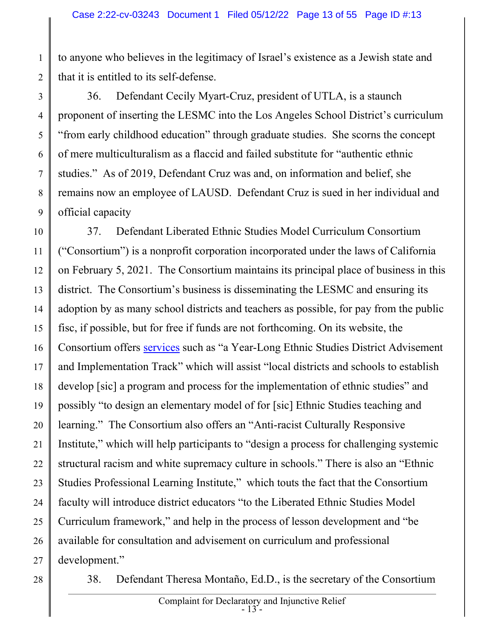to anyone who believes in the legitimacy of Israel's existence as a Jewish state and that it is entitled to its self-defense.

3 4 5 6 7 8 9 36. Defendant Cecily Myart-Cruz, president of UTLA, is a staunch proponent of inserting the LESMC into the Los Angeles School District's curriculum "from early childhood education" through graduate studies. She scorns the concept of mere multiculturalism as a flaccid and failed substitute for "authentic ethnic studies." As of 2019, Defendant Cruz was and, on information and belief, she remains now an employee of LAUSD. Defendant Cruz is sued in her individual and official capacity

10 11 12 13 14 15 16 17 18 19 20 21 22 23 24 25 26 27 37. Defendant Liberated Ethnic Studies Model Curriculum Consortium ("Consortium") is a nonprofit corporation incorporated under the laws of California on February 5, 2021. The Consortium maintains its principal place of business in this district. The Consortium's business is disseminating the LESMC and ensuring its adoption by as many school districts and teachers as possible, for pay from the public fisc, if possible, but for free if funds are not forthcoming. On its website, the Consortium offers services such as "a Year-Long Ethnic Studies District Advisement and Implementation Track" which will assist "local districts and schools to establish develop [sic] a program and process for the implementation of ethnic studies" and possibly "to design an elementary model of for [sic] Ethnic Studies teaching and learning." The Consortium also offers an "Anti-racist Culturally Responsive Institute," which will help participants to "design a process for challenging systemic structural racism and white supremacy culture in schools." There is also an "Ethnic Studies Professional Learning Institute," which touts the fact that the Consortium faculty will introduce district educators "to the Liberated Ethnic Studies Model Curriculum framework," and help in the process of lesson development and "be available for consultation and advisement on curriculum and professional development."

28

1

2

38. Defendant Theresa Montaño, Ed.D., is the secretary of the Consortium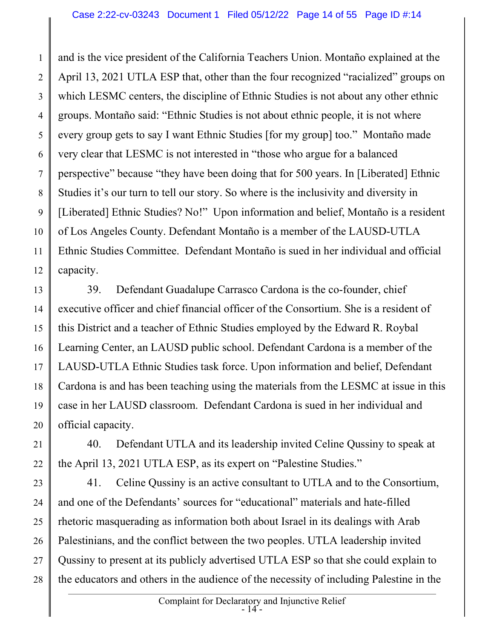1 2 3 4 5 6 7 8 9 10 11 12 and is the vice president of the California Teachers Union. Montaño explained at the April 13, 2021 UTLA ESP that, other than the four recognized "racialized" groups on which LESMC centers, the discipline of Ethnic Studies is not about any other ethnic groups. Montaño said: "Ethnic Studies is not about ethnic people, it is not where every group gets to say I want Ethnic Studies [for my group] too." Montaño made very clear that LESMC is not interested in "those who argue for a balanced perspective" because "they have been doing that for 500 years. In [Liberated] Ethnic Studies it's our turn to tell our story. So where is the inclusivity and diversity in [Liberated] Ethnic Studies? No!" Upon information and belief, Montaño is a resident of Los Angeles County. Defendant Montaño is a member of the LAUSD-UTLA Ethnic Studies Committee. Defendant Montaño is sued in her individual and official capacity.

13 14 15 16 17 18 19 20 39. Defendant Guadalupe Carrasco Cardona is the co-founder, chief executive officer and chief financial officer of the Consortium. She is a resident of this District and a teacher of Ethnic Studies employed by the Edward R. Roybal Learning Center, an LAUSD public school. Defendant Cardona is a member of the LAUSD-UTLA Ethnic Studies task force. Upon information and belief, Defendant Cardona is and has been teaching using the materials from the LESMC at issue in this case in her LAUSD classroom. Defendant Cardona is sued in her individual and official capacity.

21 22 40. Defendant UTLA and its leadership invited Celine Qussiny to speak at the April 13, 2021 UTLA ESP, as its expert on "Palestine Studies."

23 24 25 26 27 28 41. Celine Qussiny is an active consultant to UTLA and to the Consortium, and one of the Defendants' sources for "educational" materials and hate-filled rhetoric masquerading as information both about Israel in its dealings with Arab Palestinians, and the conflict between the two peoples. UTLA leadership invited Qussiny to present at its publicly advertised UTLA ESP so that she could explain to the educators and others in the audience of the necessity of including Palestine in the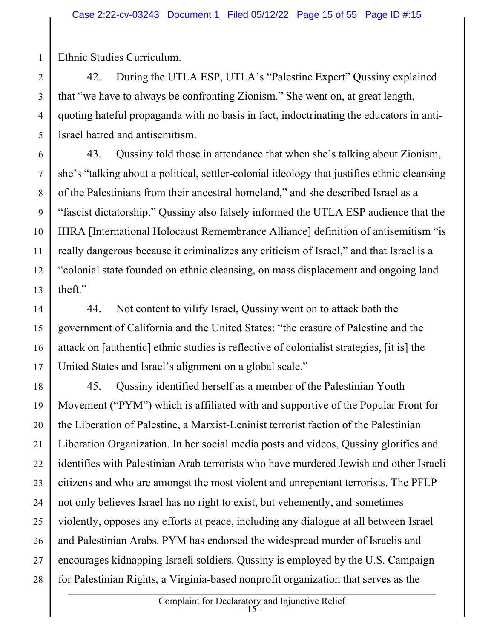Ethnic Studies Curriculum.

1

2 3 4 5 42. During the UTLA ESP, UTLA's "Palestine Expert" Qussiny explained that "we have to always be confronting Zionism." She went on, at great length, quoting hateful propaganda with no basis in fact, indoctrinating the educators in anti-Israel hatred and antisemitism.

6 7 8 9 10 11 12 13 43. Qussiny told those in attendance that when she's talking about Zionism, she's "talking about a political, settler-colonial ideology that justifies ethnic cleansing of the Palestinians from their ancestral homeland," and she described Israel as a "fascist dictatorship." Qussiny also falsely informed the UTLA ESP audience that the IHRA [International Holocaust Remembrance Alliance] definition of antisemitism "is really dangerous because it criminalizes any criticism of Israel," and that Israel is a "colonial state founded on ethnic cleansing, on mass displacement and ongoing land theft."

14 15 16 17 44. Not content to vilify Israel, Qussiny went on to attack both the government of California and the United States: "the erasure of Palestine and the attack on [authentic] ethnic studies is reflective of colonialist strategies, [it is] the United States and Israel's alignment on a global scale."

18 19 20 21 22 23 24 25 26 27 28 45. Qussiny identified herself as a member of the Palestinian Youth Movement ("PYM") which is affiliated with and supportive of the Popular Front for the Liberation of Palestine, a Marxist-Leninist terrorist faction of the Palestinian Liberation Organization. In her social media posts and videos, Qussiny glorifies and identifies with Palestinian Arab terrorists who have murdered Jewish and other Israeli citizens and who are amongst the most violent and unrepentant terrorists. The PFLP not only believes Israel has no right to exist, but vehemently, and sometimes violently, opposes any efforts at peace, including any dialogue at all between Israel and Palestinian Arabs. PYM has endorsed the widespread murder of Israelis and encourages kidnapping Israeli soldiers. Qussiny is employed by the U.S. Campaign for Palestinian Rights, a Virginia-based nonprofit organization that serves as the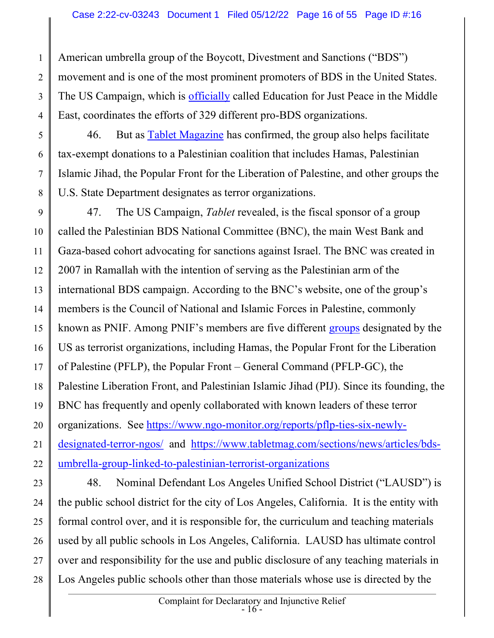1 2 3 4 American umbrella group of the Boycott, Divestment and Sanctions ("BDS") movement and is one of the most prominent promoters of BDS in the United States. The US Campaign, which is officially called Education for Just Peace in the Middle East, coordinates the efforts of 329 different pro-BDS organizations.

5 6 7 8 46. But as Tablet Magazine has confirmed, the group also helps facilitate tax-exempt donations to a Palestinian coalition that includes Hamas, Palestinian Islamic Jihad, the Popular Front for the Liberation of Palestine, and other groups the U.S. State Department designates as terror organizations.

9 10 11 12 13 14 15 16 17 18 19 20 21 22 47. The US Campaign, *Tablet* revealed, is the fiscal sponsor of a group called the Palestinian BDS National Committee (BNC), the main West Bank and Gaza-based cohort advocating for sanctions against Israel. The BNC was created in 2007 in Ramallah with the intention of serving as the Palestinian arm of the international BDS campaign. According to the BNC's website, one of the group's members is the Council of National and Islamic Forces in Palestine, commonly known as PNIF. Among PNIF's members are five different groups designated by the US as terrorist organizations, including Hamas, the Popular Front for the Liberation of Palestine (PFLP), the Popular Front – General Command (PFLP-GC), the Palestine Liberation Front, and Palestinian Islamic Jihad (PIJ). Since its founding, the BNC has frequently and openly collaborated with known leaders of these terror organizations. See https://www.ngo-monitor.org/reports/pflp-ties-six-newlydesignated-terror-ngos/ and https://www.tabletmag.com/sections/news/articles/bdsumbrella-group-linked-to-palestinian-terrorist-organizations

23 24 25 26 27 28 48. Nominal Defendant Los Angeles Unified School District ("LAUSD") is the public school district for the city of Los Angeles, California. It is the entity with formal control over, and it is responsible for, the curriculum and teaching materials used by all public schools in Los Angeles, California. LAUSD has ultimate control over and responsibility for the use and public disclosure of any teaching materials in Los Angeles public schools other than those materials whose use is directed by the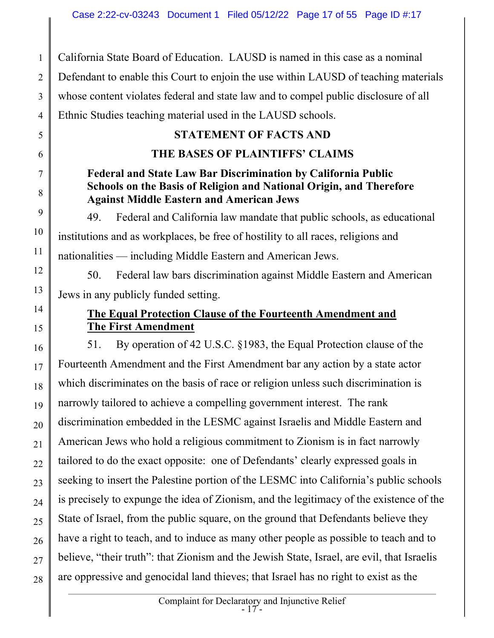1 2 3 4 5 California State Board of Education. LAUSD is named in this case as a nominal Defendant to enable this Court to enjoin the use within LAUSD of teaching materials whose content violates federal and state law and to compel public disclosure of all Ethnic Studies teaching material used in the LAUSD schools. STATEMENT OF FACTS AND

# THE BASES OF PLAINTIFFS' CLAIMS

6

7

8

9

10

11

12

13

14

15

## Federal and State Law Bar Discrimination by California Public Schools on the Basis of Religion and National Origin, and Therefore Against Middle Eastern and American Jews

49. Federal and California law mandate that public schools, as educational institutions and as workplaces, be free of hostility to all races, religions and nationalities — including Middle Eastern and American Jews.

 50. Federal law bars discrimination against Middle Eastern and American Jews in any publicly funded setting.

### The Equal Protection Clause of the Fourteenth Amendment and The First Amendment

16 17 18 19 20 21 22 23 24 25 26 27 28 51. By operation of 42 U.S.C. §1983, the Equal Protection clause of the Fourteenth Amendment and the First Amendment bar any action by a state actor which discriminates on the basis of race or religion unless such discrimination is narrowly tailored to achieve a compelling government interest. The rank discrimination embedded in the LESMC against Israelis and Middle Eastern and American Jews who hold a religious commitment to Zionism is in fact narrowly tailored to do the exact opposite: one of Defendants' clearly expressed goals in seeking to insert the Palestine portion of the LESMC into California's public schools is precisely to expunge the idea of Zionism, and the legitimacy of the existence of the State of Israel, from the public square, on the ground that Defendants believe they have a right to teach, and to induce as many other people as possible to teach and to believe, "their truth": that Zionism and the Jewish State, Israel, are evil, that Israelis are oppressive and genocidal land thieves; that Israel has no right to exist as the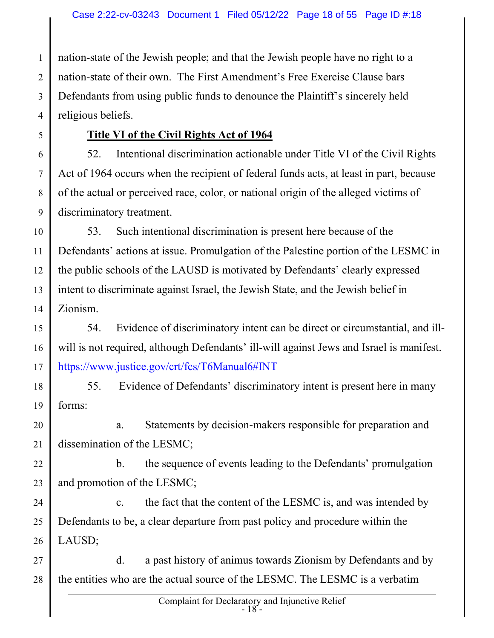1 2 3 4 nation-state of the Jewish people; and that the Jewish people have no right to a nation-state of their own. The First Amendment's Free Exercise Clause bars Defendants from using public funds to denounce the Plaintiff's sincerely held religious beliefs.

5

## Title VI of the Civil Rights Act of 1964

6 7 8 9 52. Intentional discrimination actionable under Title VI of the Civil Rights Act of 1964 occurs when the recipient of federal funds acts, at least in part, because of the actual or perceived race, color, or national origin of the alleged victims of discriminatory treatment.

10 11 12 13 14 53. Such intentional discrimination is present here because of the Defendants' actions at issue. Promulgation of the Palestine portion of the LESMC in the public schools of the LAUSD is motivated by Defendants' clearly expressed intent to discriminate against Israel, the Jewish State, and the Jewish belief in Zionism.

15 16 17 54. Evidence of discriminatory intent can be direct or circumstantial, and illwill is not required, although Defendants' ill-will against Jews and Israel is manifest. https://www.justice.gov/crt/fcs/T6Manual6#INT

18 19 55. Evidence of Defendants' discriminatory intent is present here in many forms:

20 21 a. Statements by decision-makers responsible for preparation and dissemination of the LESMC;

22 23 b. the sequence of events leading to the Defendants' promulgation and promotion of the LESMC;

24 25 26 c. the fact that the content of the LESMC is, and was intended by Defendants to be, a clear departure from past policy and procedure within the LAUSD;

27 28 d. a past history of animus towards Zionism by Defendants and by the entities who are the actual source of the LESMC. The LESMC is a verbatim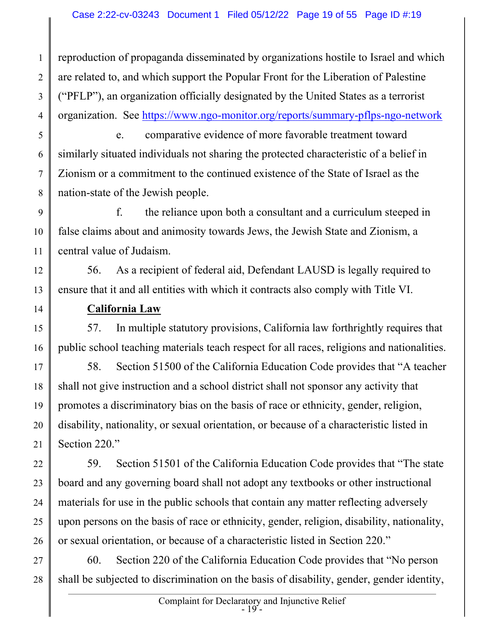1 2 3 4 reproduction of propaganda disseminated by organizations hostile to Israel and which are related to, and which support the Popular Front for the Liberation of Palestine ("PFLP"), an organization officially designated by the United States as a terrorist organization. See https://www.ngo-monitor.org/reports/summary-pflps-ngo-network

5 6 7 8 e. comparative evidence of more favorable treatment toward similarly situated individuals not sharing the protected characteristic of a belief in Zionism or a commitment to the continued existence of the State of Israel as the nation-state of the Jewish people.

9 10 11 f. the reliance upon both a consultant and a curriculum steeped in false claims about and animosity towards Jews, the Jewish State and Zionism, a central value of Judaism.

12 13 56. As a recipient of federal aid, Defendant LAUSD is legally required to ensure that it and all entities with which it contracts also comply with Title VI.

California Law

14

15 16 57. In multiple statutory provisions, California law forthrightly requires that public school teaching materials teach respect for all races, religions and nationalities.

17 18 19 20 21 58. Section 51500 of the California Education Code provides that "A teacher shall not give instruction and a school district shall not sponsor any activity that promotes a discriminatory bias on the basis of race or ethnicity, gender, religion, disability, nationality, or sexual orientation, or because of a characteristic listed in Section 220."

22 23 24 25 26 59. Section 51501 of the California Education Code provides that "The state board and any governing board shall not adopt any textbooks or other instructional materials for use in the public schools that contain any matter reflecting adversely upon persons on the basis of race or ethnicity, gender, religion, disability, nationality, or sexual orientation, or because of a characteristic listed in Section 220."

27 28 60. Section 220 of the California Education Code provides that "No person shall be subjected to discrimination on the basis of disability, gender, gender identity,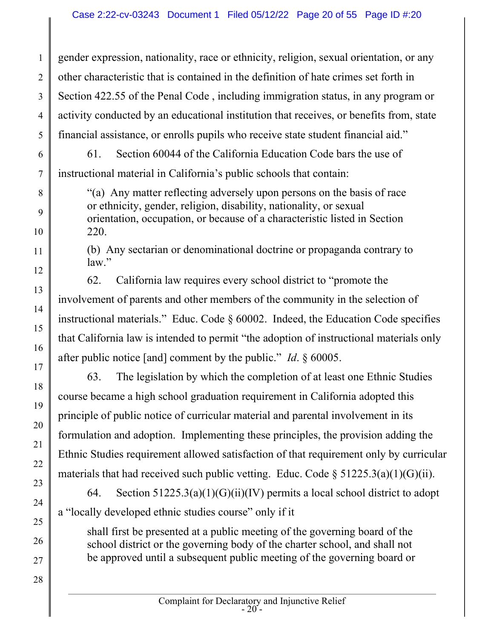1 2 3 4 5 gender expression, nationality, race or ethnicity, religion, sexual orientation, or any other characteristic that is contained in the definition of hate crimes set forth in Section 422.55 of the Penal Code , including immigration status, in any program or activity conducted by an educational institution that receives, or benefits from, state financial assistance, or enrolls pupils who receive state student financial aid."

61. Section 60044 of the California Education Code bars the use of instructional material in California's public schools that contain:

6

7

8

9

10

11

12

13

14

15

16

17

18

19

20

21

22

23

24

25

26

27

28

"(a) Any matter reflecting adversely upon persons on the basis of race or ethnicity, gender, religion, disability, nationality, or sexual orientation, occupation, or because of a characteristic listed in Section 220.

(b) Any sectarian or denominational doctrine or propaganda contrary to law."

62. California law requires every school district to "promote the involvement of parents and other members of the community in the selection of instructional materials." Educ. Code § 60002. Indeed, the Education Code specifies that California law is intended to permit "the adoption of instructional materials only after public notice [and] comment by the public." Id. § 60005.

63. The legislation by which the completion of at least one Ethnic Studies course became a high school graduation requirement in California adopted this principle of public notice of curricular material and parental involvement in its formulation and adoption. Implementing these principles, the provision adding the Ethnic Studies requirement allowed satisfaction of that requirement only by curricular materials that had received such public vetting. Educ. Code  $\S 51225.3(a)(1)(G)(ii)$ .

64. Section  $51225.3(a)(1)(G)(ii)(IV)$  permits a local school district to adopt a "locally developed ethnic studies course" only if it

shall first be presented at a public meeting of the governing board of the school district or the governing body of the charter school, and shall not be approved until a subsequent public meeting of the governing board or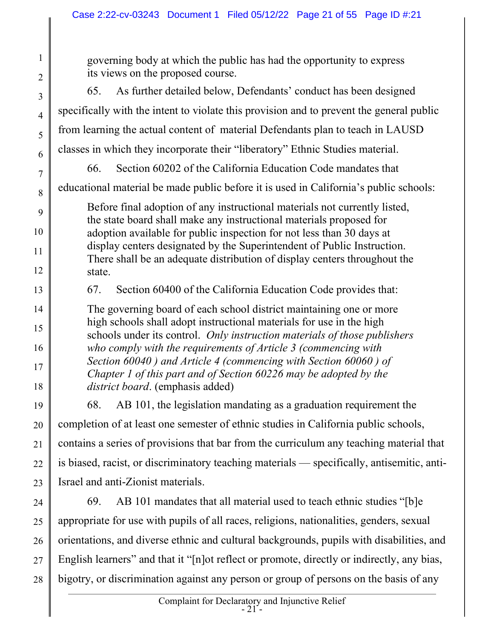1 2 3 4 5 6 7 8 9 10 11 12 13 14 15 16 17 18 19 20 21 22 23 24 25 26 27 governing body at which the public has had the opportunity to express its views on the proposed course. 65. As further detailed below, Defendants' conduct has been designed specifically with the intent to violate this provision and to prevent the general public from learning the actual content of material Defendants plan to teach in LAUSD classes in which they incorporate their "liberatory" Ethnic Studies material. 66. Section 60202 of the California Education Code mandates that educational material be made public before it is used in California's public schools: Before final adoption of any instructional materials not currently listed, the state board shall make any instructional materials proposed for adoption available for public inspection for not less than 30 days at display centers designated by the Superintendent of Public Instruction. There shall be an adequate distribution of display centers throughout the state. 67. Section 60400 of the California Education Code provides that: The governing board of each school district maintaining one or more high schools shall adopt instructional materials for use in the high schools under its control. Only instruction materials of those publishers who comply with the requirements of Article 3 (commencing with Section 60040 ) and Article 4 (commencing with Section 60060 ) of Chapter 1 of this part and of Section 60226 may be adopted by the district board. (emphasis added) 68. AB 101, the legislation mandating as a graduation requirement the completion of at least one semester of ethnic studies in California public schools, contains a series of provisions that bar from the curriculum any teaching material that is biased, racist, or discriminatory teaching materials — specifically, antisemitic, anti-Israel and anti-Zionist materials. 69. AB 101 mandates that all material used to teach ethnic studies "[b]e appropriate for use with pupils of all races, religions, nationalities, genders, sexual orientations, and diverse ethnic and cultural backgrounds, pupils with disabilities, and English learners" and that it "[n]ot reflect or promote, directly or indirectly, any bias,

28 bigotry, or discrimination against any person or group of persons on the basis of any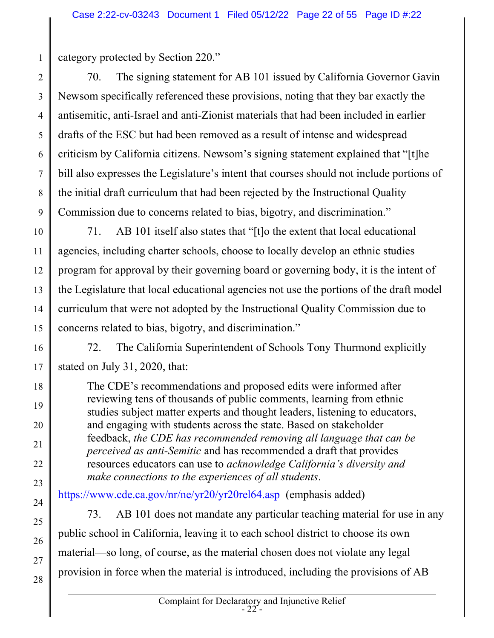category protected by Section 220."

1

18

19

20

21

22

23

24

25

26

27

28

2 3 4 5 6 7 8 9 70. The signing statement for AB 101 issued by California Governor Gavin Newsom specifically referenced these provisions, noting that they bar exactly the antisemitic, anti-Israel and anti-Zionist materials that had been included in earlier drafts of the ESC but had been removed as a result of intense and widespread criticism by California citizens. Newsom's signing statement explained that "[t]he bill also expresses the Legislature's intent that courses should not include portions of the initial draft curriculum that had been rejected by the Instructional Quality Commission due to concerns related to bias, bigotry, and discrimination."

10 11 12 13 14 15 71. AB 101 itself also states that "[t]o the extent that local educational agencies, including charter schools, choose to locally develop an ethnic studies program for approval by their governing board or governing body, it is the intent of the Legislature that local educational agencies not use the portions of the draft model curriculum that were not adopted by the Instructional Quality Commission due to concerns related to bias, bigotry, and discrimination."

16 17 72. The California Superintendent of Schools Tony Thurmond explicitly stated on July 31, 2020, that:

The CDE's recommendations and proposed edits were informed after reviewing tens of thousands of public comments, learning from ethnic studies subject matter experts and thought leaders, listening to educators, and engaging with students across the state. Based on stakeholder feedback, the CDE has recommended removing all language that can be perceived as anti-Semitic and has recommended a draft that provides resources educators can use to acknowledge California's diversity and make connections to the experiences of all students.

https://www.cde.ca.gov/nr/ne/yr20/yr20rel64.asp (emphasis added)

73. AB 101 does not mandate any particular teaching material for use in any public school in California, leaving it to each school district to choose its own material—so long, of course, as the material chosen does not violate any legal provision in force when the material is introduced, including the provisions of AB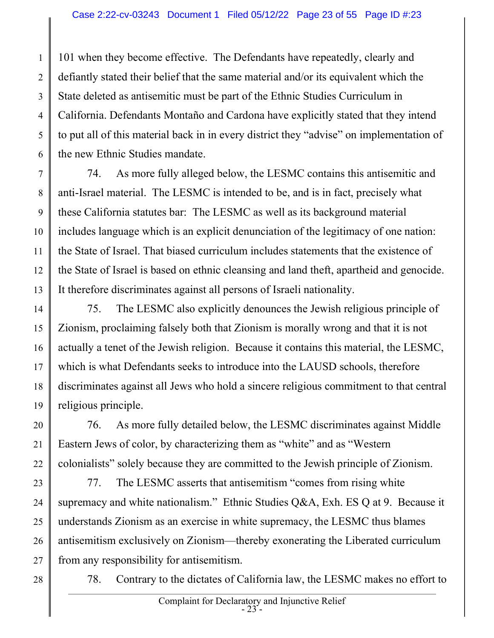1 2 3 4 5 6 101 when they become effective. The Defendants have repeatedly, clearly and defiantly stated their belief that the same material and/or its equivalent which the State deleted as antisemitic must be part of the Ethnic Studies Curriculum in California. Defendants Montaño and Cardona have explicitly stated that they intend to put all of this material back in in every district they "advise" on implementation of the new Ethnic Studies mandate.

7 8 9 10 11 12 13 74. As more fully alleged below, the LESMC contains this antisemitic and anti-Israel material. The LESMC is intended to be, and is in fact, precisely what these California statutes bar: The LESMC as well as its background material includes language which is an explicit denunciation of the legitimacy of one nation: the State of Israel. That biased curriculum includes statements that the existence of the State of Israel is based on ethnic cleansing and land theft, apartheid and genocide. It therefore discriminates against all persons of Israeli nationality.

14 15 16 17 18 19 75. The LESMC also explicitly denounces the Jewish religious principle of Zionism, proclaiming falsely both that Zionism is morally wrong and that it is not actually a tenet of the Jewish religion. Because it contains this material, the LESMC, which is what Defendants seeks to introduce into the LAUSD schools, therefore discriminates against all Jews who hold a sincere religious commitment to that central religious principle.

20 21 22 76. As more fully detailed below, the LESMC discriminates against Middle Eastern Jews of color, by characterizing them as "white" and as "Western colonialists" solely because they are committed to the Jewish principle of Zionism.

23 24 25 26 27 77. The LESMC asserts that antisemitism "comes from rising white supremacy and white nationalism." Ethnic Studies Q&A, Exh. ES Q at 9. Because it understands Zionism as an exercise in white supremacy, the LESMC thus blames antisemitism exclusively on Zionism—thereby exonerating the Liberated curriculum from any responsibility for antisemitism.

28

78. Contrary to the dictates of California law, the LESMC makes no effort to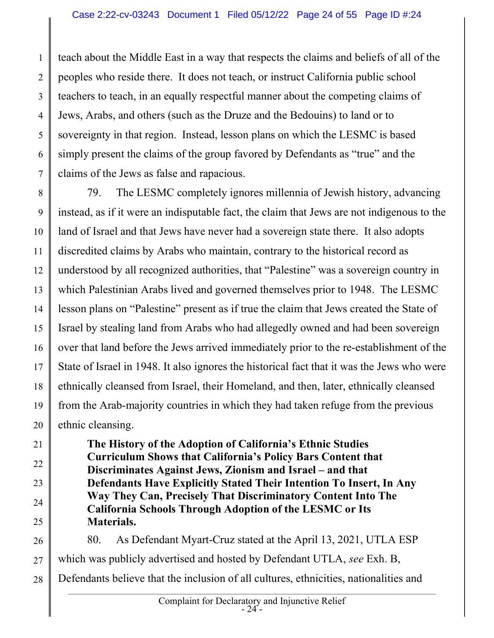1 2 3 4 5 6 7 teach about the Middle East in a way that respects the claims and beliefs of all of the peoples who reside there. It does not teach, or instruct California public school teachers to teach, in an equally respectful manner about the competing claims of Jews, Arabs, and others (such as the Druze and the Bedouins) to land or to sovereignty in that region. Instead, lesson plans on which the LESMC is based simply present the claims of the group favored by Defendants as "true" and the claims of the Jews as false and rapacious.

8 9 10 11 12 13 14 15 16 17 18 19 20 79. The LESMC completely ignores millennia of Jewish history, advancing instead, as if it were an indisputable fact, the claim that Jews are not indigenous to the land of Israel and that Jews have never had a sovereign state there. It also adopts discredited claims by Arabs who maintain, contrary to the historical record as understood by all recognized authorities, that "Palestine" was a sovereign country in which Palestinian Arabs lived and governed themselves prior to 1948. The LESMC lesson plans on "Palestine" present as if true the claim that Jews created the State of Israel by stealing land from Arabs who had allegedly owned and had been sovereign over that land before the Jews arrived immediately prior to the re-establishment of the State of Israel in 1948. It also ignores the historical fact that it was the Jews who were ethnically cleansed from Israel, their Homeland, and then, later, ethnically cleansed from the Arab-majority countries in which they had taken refuge from the previous ethnic cleansing.

21 22 23 24 25 The History of the Adoption of California's Ethnic Studies Curriculum Shows that California's Policy Bars Content that Discriminates Against Jews, Zionism and Israel – and that Defendants Have Explicitly Stated Their Intention To Insert, In Any Way They Can, Precisely That Discriminatory Content Into The California Schools Through Adoption of the LESMC or Its Materials.

26 27 28 80. As Defendant Myart-Cruz stated at the April 13, 2021, UTLA ESP which was publicly advertised and hosted by Defendant UTLA, see Exh. B, Defendants believe that the inclusion of all cultures, ethnicities, nationalities and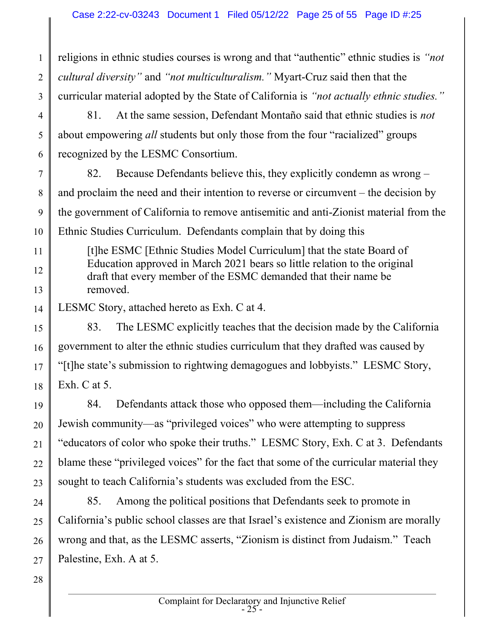3 religions in ethnic studies courses is wrong and that "authentic" ethnic studies is "not cultural diversity" and "not multiculturalism." Myart-Cruz said then that the curricular material adopted by the State of California is "not actually ethnic studies."

- 4 5 6 81. At the same session, Defendant Montaño said that ethnic studies is not about empowering *all* students but only those from the four "racialized" groups recognized by the LESMC Consortium.
- 7 8 9 10 82. Because Defendants believe this, they explicitly condemn as wrong – and proclaim the need and their intention to reverse or circumvent – the decision by the government of California to remove antisemitic and anti-Zionist material from the Ethnic Studies Curriculum. Defendants complain that by doing this
- 11 12 13 [t]he ESMC [Ethnic Studies Model Curriculum] that the state Board of Education approved in March 2021 bears so little relation to the original draft that every member of the ESMC demanded that their name be removed.
- 14 LESMC Story, attached hereto as Exh. C at 4.

15 16 17 18 83. The LESMC explicitly teaches that the decision made by the California government to alter the ethnic studies curriculum that they drafted was caused by "[t]he state's submission to rightwing demagogues and lobbyists." LESMC Story, Exh. C at 5.

- 19 20 21 22 23 84. Defendants attack those who opposed them—including the California Jewish community—as "privileged voices" who were attempting to suppress "educators of color who spoke their truths." LESMC Story, Exh. C at 3. Defendants blame these "privileged voices" for the fact that some of the curricular material they sought to teach California's students was excluded from the ESC.
- 24 25 26 27 85. Among the political positions that Defendants seek to promote in California's public school classes are that Israel's existence and Zionism are morally wrong and that, as the LESMC asserts, "Zionism is distinct from Judaism." Teach Palestine, Exh. A at 5.

28

1

2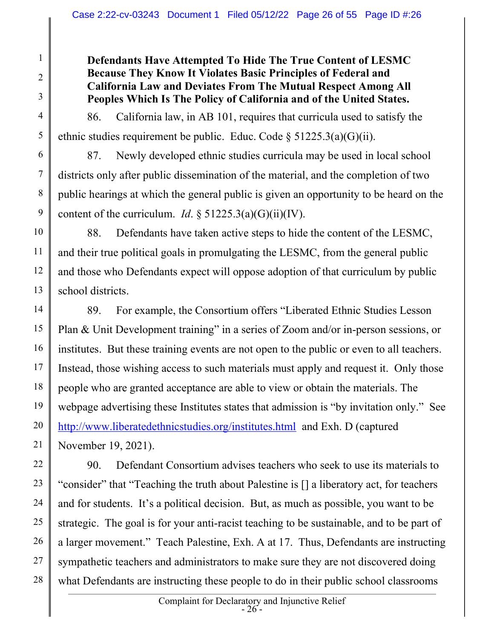#### Defendants Have Attempted To Hide The True Content of LESMC Because They Know It Violates Basic Principles of Federal and California Law and Deviates From The Mutual Respect Among All Peoples Which Is The Policy of California and of the United States.

1

2

3

4

5

6

7

8

9

86. California law, in AB 101, requires that curricula used to satisfy the ethnic studies requirement be public. Educ. Code  $\S 51225.3(a)(G)(ii)$ .

87. Newly developed ethnic studies curricula may be used in local school districts only after public dissemination of the material, and the completion of two public hearings at which the general public is given an opportunity to be heard on the content of the curriculum. *Id.*  $\delta$  51225.3(a)(G)(ii)(IV).

10 11 12 13 88. Defendants have taken active steps to hide the content of the LESMC, and their true political goals in promulgating the LESMC, from the general public and those who Defendants expect will oppose adoption of that curriculum by public school districts.

14 15 16 17 18 19 20 21 89. For example, the Consortium offers "Liberated Ethnic Studies Lesson Plan & Unit Development training" in a series of Zoom and/or in-person sessions, or institutes. But these training events are not open to the public or even to all teachers. Instead, those wishing access to such materials must apply and request it. Only those people who are granted acceptance are able to view or obtain the materials. The webpage advertising these Institutes states that admission is "by invitation only." See http://www.liberatedethnicstudies.org/institutes.html and Exh. D (captured November 19, 2021).

22 23 24 25 26 27 28 90. Defendant Consortium advises teachers who seek to use its materials to "consider" that "Teaching the truth about Palestine is [] a liberatory act, for teachers and for students. It's a political decision. But, as much as possible, you want to be strategic. The goal is for your anti-racist teaching to be sustainable, and to be part of a larger movement." Teach Palestine, Exh. A at 17. Thus, Defendants are instructing sympathetic teachers and administrators to make sure they are not discovered doing what Defendants are instructing these people to do in their public school classrooms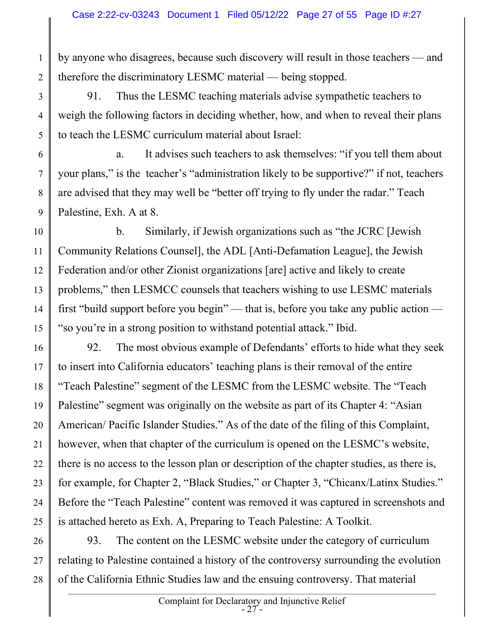by anyone who disagrees, because such discovery will result in those teachers — and therefore the discriminatory LESMC material — being stopped.

1

2

3

4

5

6

7

8

9

91. Thus the LESMC teaching materials advise sympathetic teachers to weigh the following factors in deciding whether, how, and when to reveal their plans to teach the LESMC curriculum material about Israel:

 a. It advises such teachers to ask themselves: "if you tell them about your plans," is the teacher's "administration likely to be supportive?" if not, teachers are advised that they may well be "better off trying to fly under the radar." Teach Palestine, Exh. A at 8.

10 11 12 13 14 15 b. Similarly, if Jewish organizations such as "the JCRC [Jewish Community Relations Counsel], the ADL [Anti-Defamation League], the Jewish Federation and/or other Zionist organizations [are] active and likely to create problems," then LESMCC counsels that teachers wishing to use LESMC materials first "build support before you begin" — that is, before you take any public action — "so you're in a strong position to withstand potential attack." Ibid.

16 17 18 19 20 21 22 23 24 25 92. The most obvious example of Defendants' efforts to hide what they seek to insert into California educators' teaching plans is their removal of the entire "Teach Palestine" segment of the LESMC from the LESMC website. The "Teach Palestine" segment was originally on the website as part of its Chapter 4: "Asian American/ Pacific Islander Studies." As of the date of the filing of this Complaint, however, when that chapter of the curriculum is opened on the LESMC's website, there is no access to the lesson plan or description of the chapter studies, as there is, for example, for Chapter 2, "Black Studies," or Chapter 3, "Chicanx/Latinx Studies." Before the "Teach Palestine" content was removed it was captured in screenshots and is attached hereto as Exh. A, Preparing to Teach Palestine: A Toolkit.

26 27 28 93. The content on the LESMC website under the category of curriculum relating to Palestine contained a history of the controversy surrounding the evolution of the California Ethnic Studies law and the ensuing controversy. That material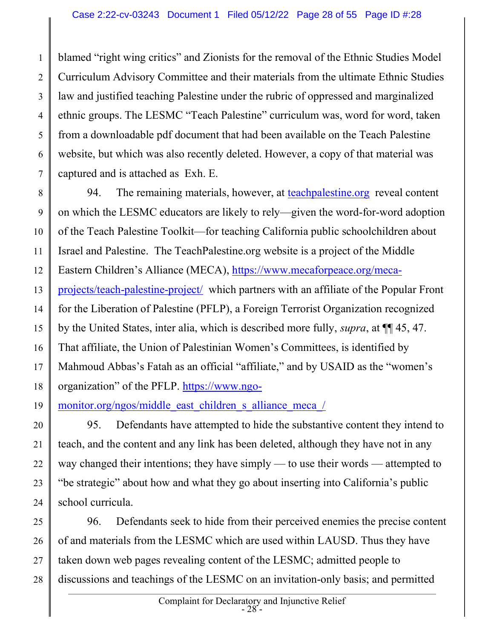1 2 3 4 5 6 7 blamed "right wing critics" and Zionists for the removal of the Ethnic Studies Model Curriculum Advisory Committee and their materials from the ultimate Ethnic Studies law and justified teaching Palestine under the rubric of oppressed and marginalized ethnic groups. The LESMC "Teach Palestine" curriculum was, word for word, taken from a downloadable pdf document that had been available on the Teach Palestine website, but which was also recently deleted. However, a copy of that material was captured and is attached as Exh. E.

8 9 10 11 12 13 14 15 16 17 18 94. The remaining materials, however, at teachpalestine.org reveal content on which the LESMC educators are likely to rely—given the word-for-word adoption of the Teach Palestine Toolkit—for teaching California public schoolchildren about Israel and Palestine. The TeachPalestine.org website is a project of the Middle Eastern Children's Alliance (MECA), https://www.mecaforpeace.org/mecaprojects/teach-palestine-project/ which partners with an affiliate of the Popular Front for the Liberation of Palestine (PFLP), a Foreign Terrorist Organization recognized by the United States, inter alia, which is described more fully, supra, at ¶¶ 45, 47. That affiliate, the Union of Palestinian Women's Committees, is identified by Mahmoud Abbas's Fatah as an official "affiliate," and by USAID as the "women's organization" of the PFLP. https://www.ngo-

19 monitor.org/ngos/middle\_east\_children\_s\_alliance\_meca\_/

20 21 22 23 24 95. Defendants have attempted to hide the substantive content they intend to teach, and the content and any link has been deleted, although they have not in any way changed their intentions; they have simply — to use their words — attempted to "be strategic" about how and what they go about inserting into California's public school curricula.

25 26 27 28 96. Defendants seek to hide from their perceived enemies the precise content of and materials from the LESMC which are used within LAUSD. Thus they have taken down web pages revealing content of the LESMC; admitted people to discussions and teachings of the LESMC on an invitation-only basis; and permitted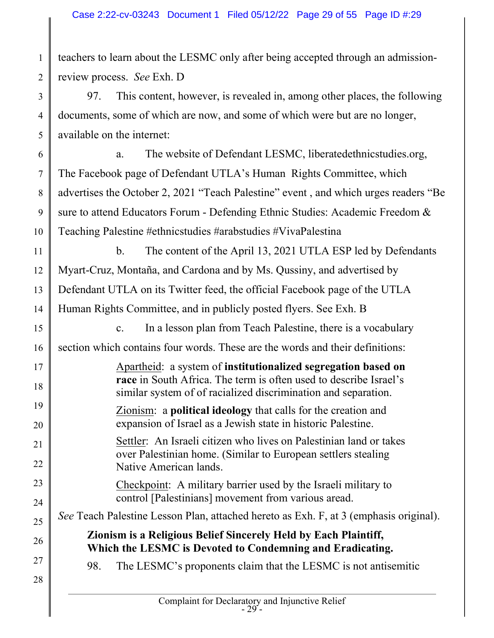teachers to learn about the LESMC only after being accepted through an admissionreview process. See Exh. D

97. This content, however, is revealed in, among other places, the following documents, some of which are now, and some of which were but are no longer, available on the internet:

6 7 8 9 10 a. The website of Defendant LESMC, liberatedethnicstudies.org, The Facebook page of Defendant UTLA's Human Rights Committee, which advertises the October 2, 2021 "Teach Palestine" event , and which urges readers "Be sure to attend Educators Forum - Defending Ethnic Studies: Academic Freedom & Teaching Palestine #ethnicstudies #arabstudies #VivaPalestina

11 12 13 14 b. The content of the April 13, 2021 UTLA ESP led by Defendants Myart-Cruz, Montaña, and Cardona and by Ms. Qussiny, and advertised by Defendant UTLA on its Twitter feed, the official Facebook page of the UTLA Human Rights Committee, and in publicly posted flyers. See Exh. B

15 c. In a lesson plan from Teach Palestine, there is a vocabulary

16 section which contains four words. These are the words and their definitions:

Apartheid: a system of institutionalized segregation based on race in South Africa. The term is often used to describe Israel's similar system of of racialized discrimination and separation.

Zionism: a political ideology that calls for the creation and expansion of Israel as a Jewish state in historic Palestine.

Settler: An Israeli citizen who lives on Palestinian land or takes over Palestinian home. (Similar to European settlers stealing Native American lands.

Checkpoint: A military barrier used by the Israeli military to control [Palestinians] movement from various aread.

See Teach Palestine Lesson Plan, attached hereto as Exh. F, at 3 (emphasis original).

Zionism is a Religious Belief Sincerely Held by Each Plaintiff, Which the LESMC is Devoted to Condemning and Eradicating.

98. The LESMC's proponents claim that the LESMC is not antisemitic

28

17

18

19

20

21

22

23

24

25

26

27

1

2

3

4

5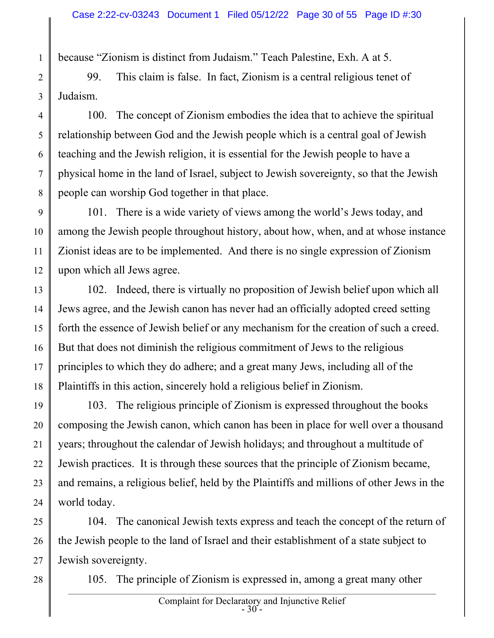because "Zionism is distinct from Judaism." Teach Palestine, Exh. A at 5.

2 3 99. This claim is false. In fact, Zionism is a central religious tenet of Judaism.

100. The concept of Zionism embodies the idea that to achieve the spiritual relationship between God and the Jewish people which is a central goal of Jewish teaching and the Jewish religion, it is essential for the Jewish people to have a physical home in the land of Israel, subject to Jewish sovereignty, so that the Jewish people can worship God together in that place.

9 10 11 12 101. There is a wide variety of views among the world's Jews today, and among the Jewish people throughout history, about how, when, and at whose instance Zionist ideas are to be implemented. And there is no single expression of Zionism upon which all Jews agree.

13 14 15 16 17 18 102. Indeed, there is virtually no proposition of Jewish belief upon which all Jews agree, and the Jewish canon has never had an officially adopted creed setting forth the essence of Jewish belief or any mechanism for the creation of such a creed. But that does not diminish the religious commitment of Jews to the religious principles to which they do adhere; and a great many Jews, including all of the Plaintiffs in this action, sincerely hold a religious belief in Zionism.

19 20 21 22 23 24 103. The religious principle of Zionism is expressed throughout the books composing the Jewish canon, which canon has been in place for well over a thousand years; throughout the calendar of Jewish holidays; and throughout a multitude of Jewish practices. It is through these sources that the principle of Zionism became, and remains, a religious belief, held by the Plaintiffs and millions of other Jews in the world today.

25 26 27 104. The canonical Jewish texts express and teach the concept of the return of the Jewish people to the land of Israel and their establishment of a state subject to Jewish sovereignty.

28

1

4

5

6

7

8

105. The principle of Zionism is expressed in, among a great many other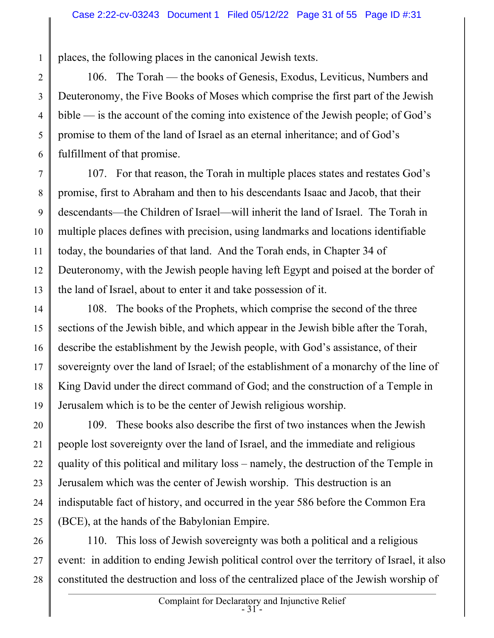places, the following places in the canonical Jewish texts.

1

2 3 4 5 6 106. The Torah — the books of Genesis, Exodus, Leviticus, Numbers and Deuteronomy, the Five Books of Moses which comprise the first part of the Jewish bible — is the account of the coming into existence of the Jewish people; of God's promise to them of the land of Israel as an eternal inheritance; and of God's fulfillment of that promise.

7 8 9 10 11 12 13 107. For that reason, the Torah in multiple places states and restates God's promise, first to Abraham and then to his descendants Isaac and Jacob, that their descendants—the Children of Israel—will inherit the land of Israel. The Torah in multiple places defines with precision, using landmarks and locations identifiable today, the boundaries of that land. And the Torah ends, in Chapter 34 of Deuteronomy, with the Jewish people having left Egypt and poised at the border of the land of Israel, about to enter it and take possession of it.

14 15 16 17 18 19 108. The books of the Prophets, which comprise the second of the three sections of the Jewish bible, and which appear in the Jewish bible after the Torah, describe the establishment by the Jewish people, with God's assistance, of their sovereignty over the land of Israel; of the establishment of a monarchy of the line of King David under the direct command of God; and the construction of a Temple in Jerusalem which is to be the center of Jewish religious worship.

20 21 22 23 24 25 109. These books also describe the first of two instances when the Jewish people lost sovereignty over the land of Israel, and the immediate and religious quality of this political and military loss – namely, the destruction of the Temple in Jerusalem which was the center of Jewish worship. This destruction is an indisputable fact of history, and occurred in the year 586 before the Common Era (BCE), at the hands of the Babylonian Empire.

26 27 28 110. This loss of Jewish sovereignty was both a political and a religious event: in addition to ending Jewish political control over the territory of Israel, it also constituted the destruction and loss of the centralized place of the Jewish worship of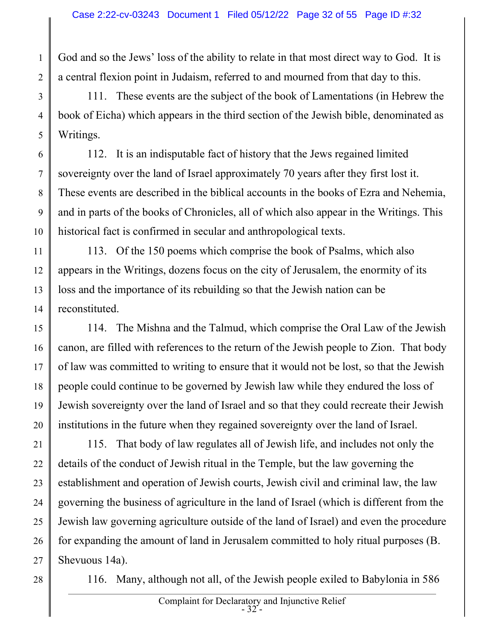God and so the Jews' loss of the ability to relate in that most direct way to God. It is a central flexion point in Judaism, referred to and mourned from that day to this.

3 4 5 111. These events are the subject of the book of Lamentations (in Hebrew the book of Eicha) which appears in the third section of the Jewish bible, denominated as Writings.

6 7 8 9 10 112. It is an indisputable fact of history that the Jews regained limited sovereignty over the land of Israel approximately 70 years after they first lost it. These events are described in the biblical accounts in the books of Ezra and Nehemia, and in parts of the books of Chronicles, all of which also appear in the Writings. This historical fact is confirmed in secular and anthropological texts.

11 12 13 14 113. Of the 150 poems which comprise the book of Psalms, which also appears in the Writings, dozens focus on the city of Jerusalem, the enormity of its loss and the importance of its rebuilding so that the Jewish nation can be reconstituted.

15 16 17 18 19 20 114. The Mishna and the Talmud, which comprise the Oral Law of the Jewish canon, are filled with references to the return of the Jewish people to Zion. That body of law was committed to writing to ensure that it would not be lost, so that the Jewish people could continue to be governed by Jewish law while they endured the loss of Jewish sovereignty over the land of Israel and so that they could recreate their Jewish institutions in the future when they regained sovereignty over the land of Israel.

21 22 23 24 25 26 27 115. That body of law regulates all of Jewish life, and includes not only the details of the conduct of Jewish ritual in the Temple, but the law governing the establishment and operation of Jewish courts, Jewish civil and criminal law, the law governing the business of agriculture in the land of Israel (which is different from the Jewish law governing agriculture outside of the land of Israel) and even the procedure for expanding the amount of land in Jerusalem committed to holy ritual purposes (B. Shevuous 14a).

28

1

2

116. Many, although not all, of the Jewish people exiled to Babylonia in 586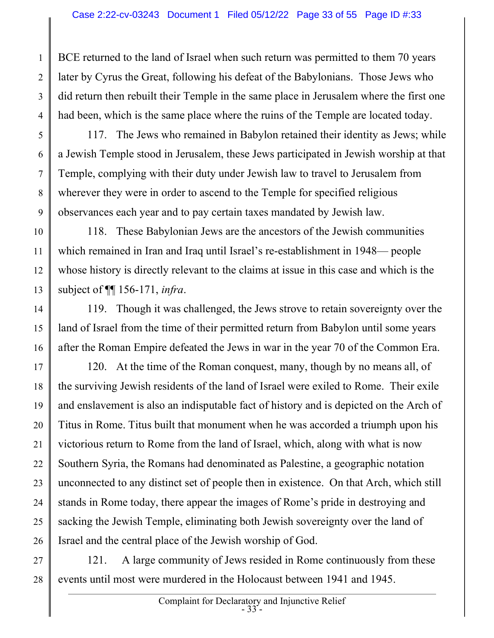4 BCE returned to the land of Israel when such return was permitted to them 70 years later by Cyrus the Great, following his defeat of the Babylonians. Those Jews who did return then rebuilt their Temple in the same place in Jerusalem where the first one had been, which is the same place where the ruins of the Temple are located today.

1

2

3

5

6

7

8

9

117. The Jews who remained in Babylon retained their identity as Jews; while a Jewish Temple stood in Jerusalem, these Jews participated in Jewish worship at that Temple, complying with their duty under Jewish law to travel to Jerusalem from wherever they were in order to ascend to the Temple for specified religious observances each year and to pay certain taxes mandated by Jewish law.

10 11 12 13 118. These Babylonian Jews are the ancestors of the Jewish communities which remained in Iran and Iraq until Israel's re-establishment in 1948— people whose history is directly relevant to the claims at issue in this case and which is the subject of  $\P$ [ 156-171, *infra*.

14 15 16 119. Though it was challenged, the Jews strove to retain sovereignty over the land of Israel from the time of their permitted return from Babylon until some years after the Roman Empire defeated the Jews in war in the year 70 of the Common Era.

17 18 19 20 21 22 23 24 25 26 120. At the time of the Roman conquest, many, though by no means all, of the surviving Jewish residents of the land of Israel were exiled to Rome. Their exile and enslavement is also an indisputable fact of history and is depicted on the Arch of Titus in Rome. Titus built that monument when he was accorded a triumph upon his victorious return to Rome from the land of Israel, which, along with what is now Southern Syria, the Romans had denominated as Palestine, a geographic notation unconnected to any distinct set of people then in existence. On that Arch, which still stands in Rome today, there appear the images of Rome's pride in destroying and sacking the Jewish Temple, eliminating both Jewish sovereignty over the land of Israel and the central place of the Jewish worship of God.

27 28 121. A large community of Jews resided in Rome continuously from these events until most were murdered in the Holocaust between 1941 and 1945.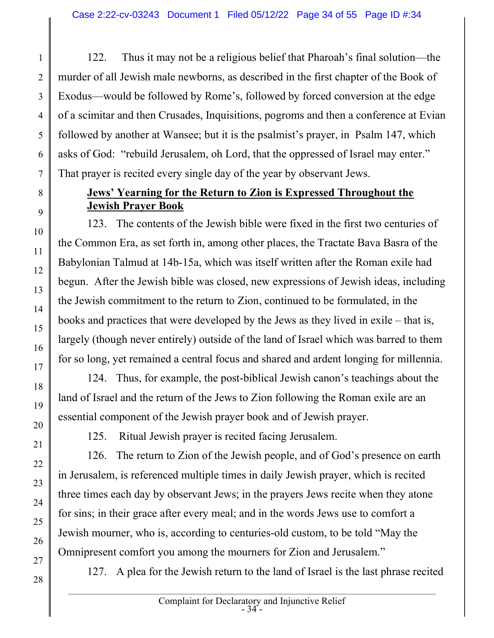122. Thus it may not be a religious belief that Pharoah's final solution—the murder of all Jewish male newborns, as described in the first chapter of the Book of Exodus—would be followed by Rome's, followed by forced conversion at the edge of a scimitar and then Crusades, Inquisitions, pogroms and then a conference at Evian followed by another at Wansee; but it is the psalmist's prayer, in Psalm 147, which asks of God: "rebuild Jerusalem, oh Lord, that the oppressed of Israel may enter." That prayer is recited every single day of the year by observant Jews.

### Jews' Yearning for the Return to Zion is Expressed Throughout the Jewish Prayer Book

123. The contents of the Jewish bible were fixed in the first two centuries of the Common Era, as set forth in, among other places, the Tractate Bava Basra of the Babylonian Talmud at 14b-15a, which was itself written after the Roman exile had begun. After the Jewish bible was closed, new expressions of Jewish ideas, including the Jewish commitment to the return to Zion, continued to be formulated, in the books and practices that were developed by the Jews as they lived in exile – that is, largely (though never entirely) outside of the land of Israel which was barred to them for so long, yet remained a central focus and shared and ardent longing for millennia.

124. Thus, for example, the post-biblical Jewish canon's teachings about the land of Israel and the return of the Jews to Zion following the Roman exile are an essential component of the Jewish prayer book and of Jewish prayer.

125. Ritual Jewish prayer is recited facing Jerusalem.

126. The return to Zion of the Jewish people, and of God's presence on earth in Jerusalem, is referenced multiple times in daily Jewish prayer, which is recited three times each day by observant Jews; in the prayers Jews recite when they atone for sins; in their grace after every meal; and in the words Jews use to comfort a Jewish mourner, who is, according to centuries-old custom, to be told "May the Omnipresent comfort you among the mourners for Zion and Jerusalem."

127. A plea for the Jewish return to the land of Israel is the last phrase recited

1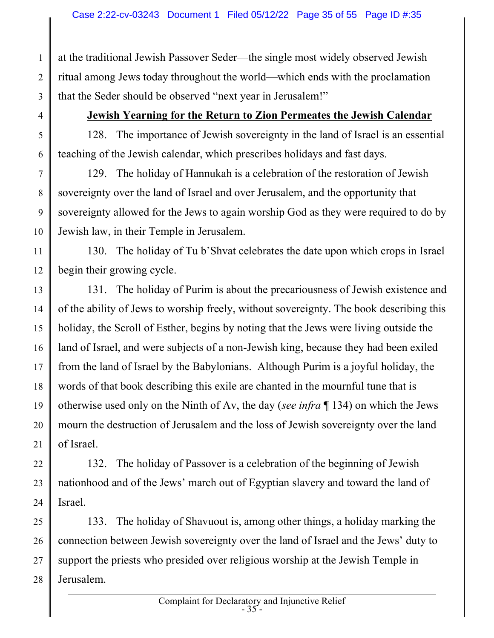1 2 3 at the traditional Jewish Passover Seder—the single most widely observed Jewish ritual among Jews today throughout the world—which ends with the proclamation that the Seder should be observed "next year in Jerusalem!"

4 5

6

#### Jewish Yearning for the Return to Zion Permeates the Jewish Calendar

128. The importance of Jewish sovereignty in the land of Israel is an essential teaching of the Jewish calendar, which prescribes holidays and fast days.

7 8 9 10 129. The holiday of Hannukah is a celebration of the restoration of Jewish sovereignty over the land of Israel and over Jerusalem, and the opportunity that sovereignty allowed for the Jews to again worship God as they were required to do by Jewish law, in their Temple in Jerusalem.

11 12 130. The holiday of Tu b'Shvat celebrates the date upon which crops in Israel begin their growing cycle.

13 14 15 16 17 18 19 20 21 131. The holiday of Purim is about the precariousness of Jewish existence and of the ability of Jews to worship freely, without sovereignty. The book describing this holiday, the Scroll of Esther, begins by noting that the Jews were living outside the land of Israel, and were subjects of a non-Jewish king, because they had been exiled from the land of Israel by the Babylonians. Although Purim is a joyful holiday, the words of that book describing this exile are chanted in the mournful tune that is otherwise used only on the Ninth of Av, the day (see infra ¶ 134) on which the Jews mourn the destruction of Jerusalem and the loss of Jewish sovereignty over the land of Israel.

22 23 24 132. The holiday of Passover is a celebration of the beginning of Jewish nationhood and of the Jews' march out of Egyptian slavery and toward the land of Israel.

25 26 27 28 133. The holiday of Shavuout is, among other things, a holiday marking the connection between Jewish sovereignty over the land of Israel and the Jews' duty to support the priests who presided over religious worship at the Jewish Temple in Jerusalem.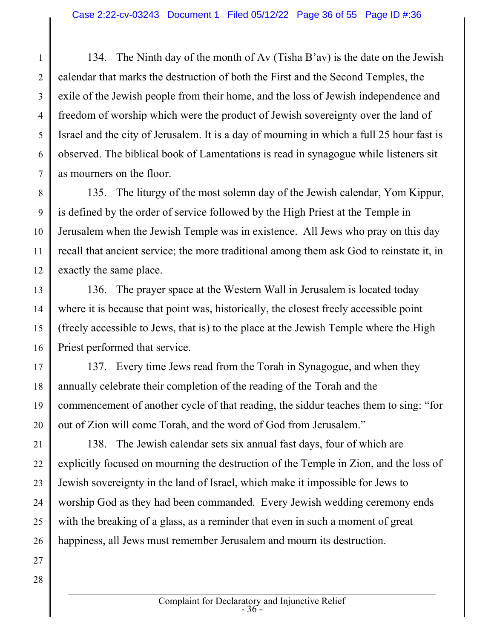1 2 3 4 5 6 7 134. The Ninth day of the month of Av (Tisha B'av) is the date on the Jewish calendar that marks the destruction of both the First and the Second Temples, the exile of the Jewish people from their home, and the loss of Jewish independence and freedom of worship which were the product of Jewish sovereignty over the land of Israel and the city of Jerusalem. It is a day of mourning in which a full 25 hour fast is observed. The biblical book of Lamentations is read in synagogue while listeners sit as mourners on the floor.

8 9 10 11 12 135. The liturgy of the most solemn day of the Jewish calendar, Yom Kippur, is defined by the order of service followed by the High Priest at the Temple in Jerusalem when the Jewish Temple was in existence. All Jews who pray on this day recall that ancient service; the more traditional among them ask God to reinstate it, in exactly the same place.

13 14 15 16 136. The prayer space at the Western Wall in Jerusalem is located today where it is because that point was, historically, the closest freely accessible point (freely accessible to Jews, that is) to the place at the Jewish Temple where the High Priest performed that service.

17 18 19 20 137. Every time Jews read from the Torah in Synagogue, and when they annually celebrate their completion of the reading of the Torah and the commencement of another cycle of that reading, the siddur teaches them to sing: "for out of Zion will come Torah, and the word of God from Jerusalem."

21 22 23 24 25 26 138. The Jewish calendar sets six annual fast days, four of which are explicitly focused on mourning the destruction of the Temple in Zion, and the loss of Jewish sovereignty in the land of Israel, which make it impossible for Jews to worship God as they had been commanded. Every Jewish wedding ceremony ends with the breaking of a glass, as a reminder that even in such a moment of great happiness, all Jews must remember Jerusalem and mourn its destruction.

- 27
- 28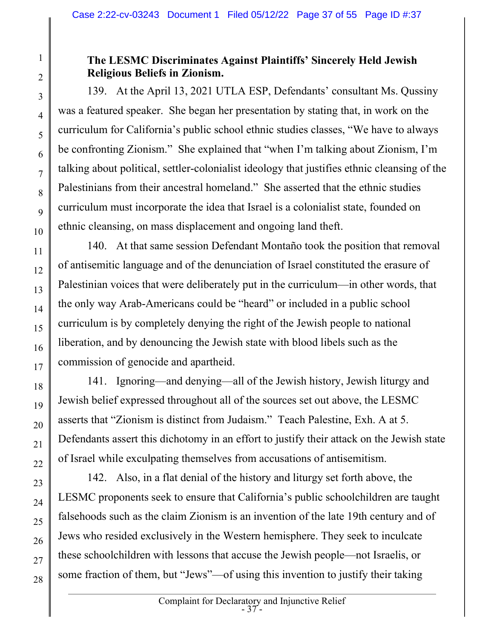## The LESMC Discriminates Against Plaintiffs' Sincerely Held Jewish Religious Beliefs in Zionism.

139. At the April 13, 2021 UTLA ESP, Defendants' consultant Ms. Qussiny was a featured speaker. She began her presentation by stating that, in work on the curriculum for California's public school ethnic studies classes, "We have to always be confronting Zionism." She explained that "when I'm talking about Zionism, I'm talking about political, settler-colonialist ideology that justifies ethnic cleansing of the Palestinians from their ancestral homeland." She asserted that the ethnic studies curriculum must incorporate the idea that Israel is a colonialist state, founded on ethnic cleansing, on mass displacement and ongoing land theft.

140. At that same session Defendant Montaño took the position that removal of antisemitic language and of the denunciation of Israel constituted the erasure of Palestinian voices that were deliberately put in the curriculum—in other words, that the only way Arab-Americans could be "heard" or included in a public school curriculum is by completely denying the right of the Jewish people to national liberation, and by denouncing the Jewish state with blood libels such as the commission of genocide and apartheid.

141. Ignoring—and denying—all of the Jewish history, Jewish liturgy and Jewish belief expressed throughout all of the sources set out above, the LESMC asserts that "Zionism is distinct from Judaism." Teach Palestine, Exh. A at 5. Defendants assert this dichotomy in an effort to justify their attack on the Jewish state of Israel while exculpating themselves from accusations of antisemitism.

142. Also, in a flat denial of the history and liturgy set forth above, the LESMC proponents seek to ensure that California's public schoolchildren are taught falsehoods such as the claim Zionism is an invention of the late 19th century and of Jews who resided exclusively in the Western hemisphere. They seek to inculcate these schoolchildren with lessons that accuse the Jewish people—not Israelis, or some fraction of them, but "Jews"—of using this invention to justify their taking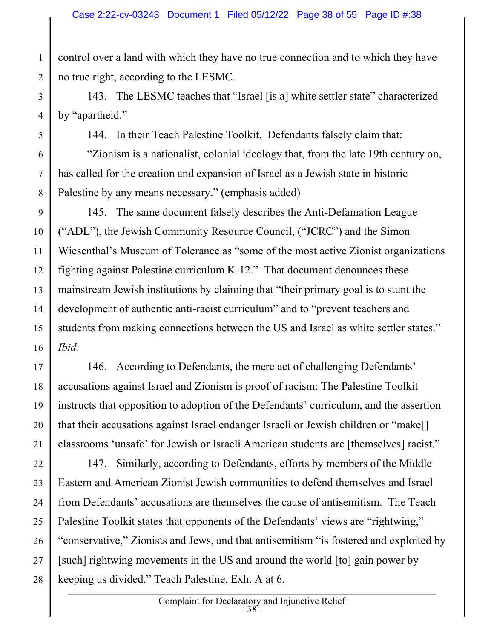control over a land with which they have no true connection and to which they have no true right, according to the LESMC.

1

2

3

4

5

6

7

8

143. The LESMC teaches that "Israel [is a] white settler state" characterized by "apartheid."

144. In their Teach Palestine Toolkit, Defendants falsely claim that: "Zionism is a nationalist, colonial ideology that, from the late 19th century on, has called for the creation and expansion of Israel as a Jewish state in historic Palestine by any means necessary." (emphasis added)

9 10 11 12 13 14 15 16 145. The same document falsely describes the Anti-Defamation League ("ADL"), the Jewish Community Resource Council, ("JCRC") and the Simon Wiesenthal's Museum of Tolerance as "some of the most active Zionist organizations fighting against Palestine curriculum K-12." That document denounces these mainstream Jewish institutions by claiming that "their primary goal is to stunt the development of authentic anti-racist curriculum" and to "prevent teachers and students from making connections between the US and Israel as white settler states." Ibid.

17 18 19 20 21 146. According to Defendants, the mere act of challenging Defendants' accusations against Israel and Zionism is proof of racism: The Palestine Toolkit instructs that opposition to adoption of the Defendants' curriculum, and the assertion that their accusations against Israel endanger Israeli or Jewish children or "make[] classrooms 'unsafe' for Jewish or Israeli American students are [themselves] racist."

22 23 24 25 26 27 28 147. Similarly, according to Defendants, efforts by members of the Middle Eastern and American Zionist Jewish communities to defend themselves and Israel from Defendants' accusations are themselves the cause of antisemitism. The Teach Palestine Toolkit states that opponents of the Defendants' views are "rightwing," "conservative," Zionists and Jews, and that antisemitism "is fostered and exploited by [such] rightwing movements in the US and around the world [to] gain power by keeping us divided." Teach Palestine, Exh. A at 6.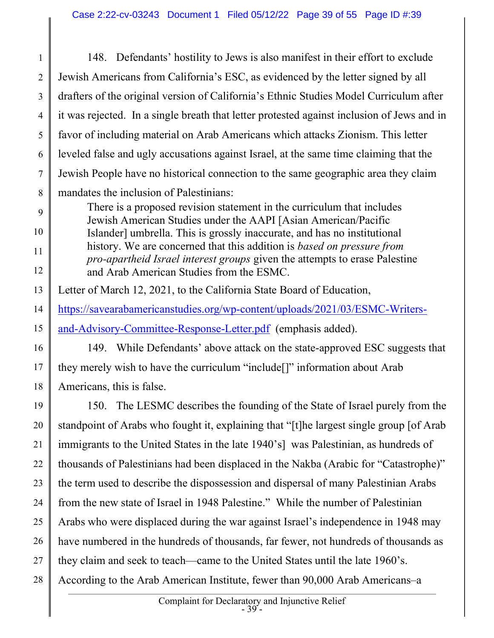1 2 3 4 5 6 7 8 148. Defendants' hostility to Jews is also manifest in their effort to exclude Jewish Americans from California's ESC, as evidenced by the letter signed by all drafters of the original version of California's Ethnic Studies Model Curriculum after it was rejected. In a single breath that letter protested against inclusion of Jews and in favor of including material on Arab Americans which attacks Zionism. This letter leveled false and ugly accusations against Israel, at the same time claiming that the Jewish People have no historical connection to the same geographic area they claim mandates the inclusion of Palestinians:

- 9 10 11 12 There is a proposed revision statement in the curriculum that includes Jewish American Studies under the AAPI [Asian American/Pacific Islander] umbrella. This is grossly inaccurate, and has no institutional history. We are concerned that this addition is based on pressure from pro-apartheid Israel interest groups given the attempts to erase Palestine and Arab American Studies from the ESMC.
- 13 Letter of March 12, 2021, to the California State Board of Education,
- 14 https://savearabamericanstudies.org/wp-content/uploads/2021/03/ESMC-Writers-
- 15 and-Advisory-Committee-Response-Letter.pdf (emphasis added).
- 16

17 18 149. While Defendants' above attack on the state-approved ESC suggests that they merely wish to have the curriculum "include[]" information about Arab Americans, this is false.

19 20 21 22 23 24 25 26 27 150. The LESMC describes the founding of the State of Israel purely from the standpoint of Arabs who fought it, explaining that "[t]he largest single group [of Arab immigrants to the United States in the late 1940's] was Palestinian, as hundreds of thousands of Palestinians had been displaced in the Nakba (Arabic for "Catastrophe)" the term used to describe the dispossession and dispersal of many Palestinian Arabs from the new state of Israel in 1948 Palestine." While the number of Palestinian Arabs who were displaced during the war against Israel's independence in 1948 may have numbered in the hundreds of thousands, far fewer, not hundreds of thousands as they claim and seek to teach—came to the United States until the late 1960's.

28 According to the Arab American Institute, fewer than 90,000 Arab Americans–a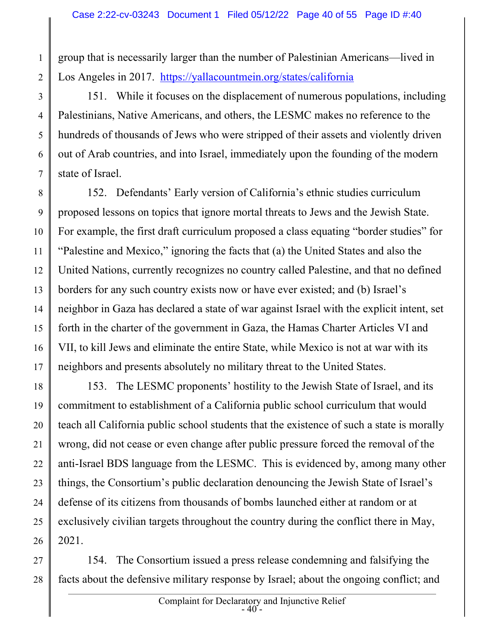group that is necessarily larger than the number of Palestinian Americans—lived in Los Angeles in 2017. https://yallacountmein.org/states/california

1

2

3

5

6

7

4 151. While it focuses on the displacement of numerous populations, including Palestinians, Native Americans, and others, the LESMC makes no reference to the hundreds of thousands of Jews who were stripped of their assets and violently driven out of Arab countries, and into Israel, immediately upon the founding of the modern state of Israel.

8 9 10 11 12 13 14 15 16 17 152. Defendants' Early version of California's ethnic studies curriculum proposed lessons on topics that ignore mortal threats to Jews and the Jewish State. For example, the first draft curriculum proposed a class equating "border studies" for "Palestine and Mexico," ignoring the facts that (a) the United States and also the United Nations, currently recognizes no country called Palestine, and that no defined borders for any such country exists now or have ever existed; and (b) Israel's neighbor in Gaza has declared a state of war against Israel with the explicit intent, set forth in the charter of the government in Gaza, the Hamas Charter Articles VI and VII, to kill Jews and eliminate the entire State, while Mexico is not at war with its neighbors and presents absolutely no military threat to the United States.

18 19 20 21 22 23 24 25 26 153. The LESMC proponents' hostility to the Jewish State of Israel, and its commitment to establishment of a California public school curriculum that would teach all California public school students that the existence of such a state is morally wrong, did not cease or even change after public pressure forced the removal of the anti-Israel BDS language from the LESMC. This is evidenced by, among many other things, the Consortium's public declaration denouncing the Jewish State of Israel's defense of its citizens from thousands of bombs launched either at random or at exclusively civilian targets throughout the country during the conflict there in May, 2021.

27 28 154. The Consortium issued a press release condemning and falsifying the facts about the defensive military response by Israel; about the ongoing conflict; and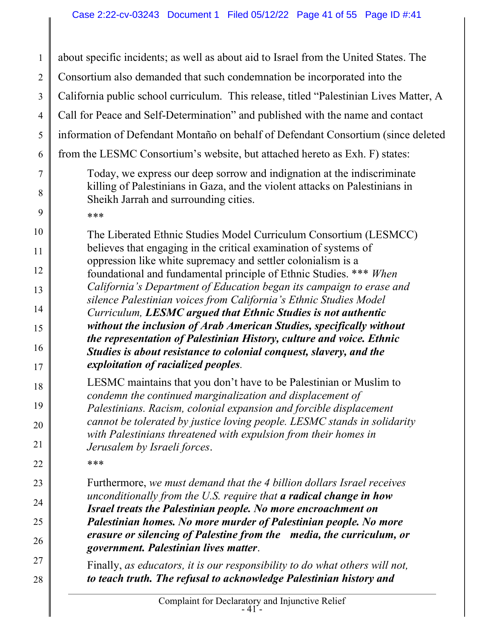1 2 3 4 5 6 7 8 9 10 11 12 13 14 15 16 17 18 19 20 21 22 23 24 25 26 27 28 about specific incidents; as well as about aid to Israel from the United States. The Consortium also demanded that such condemnation be incorporated into the California public school curriculum. This release, titled "Palestinian Lives Matter, A Call for Peace and Self-Determination" and published with the name and contact information of Defendant Montaño on behalf of Defendant Consortium (since deleted from the LESMC Consortium's website, but attached hereto as Exh. F) states: Today, we express our deep sorrow and indignation at the indiscriminate killing of Palestinians in Gaza, and the violent attacks on Palestinians in Sheikh Jarrah and surrounding cities. \*\*\* The Liberated Ethnic Studies Model Curriculum Consortium (LESMCC) believes that engaging in the critical examination of systems of oppression like white supremacy and settler colonialism is a foundational and fundamental principle of Ethnic Studies. \*\*\* When California's Department of Education began its campaign to erase and silence Palestinian voices from California's Ethnic Studies Model Curriculum, LESMC argued that Ethnic Studies is not authentic without the inclusion of Arab American Studies, specifically without the representation of Palestinian History, culture and voice. Ethnic Studies is about resistance to colonial conquest, slavery, and the exploitation of racialized peoples. LESMC maintains that you don't have to be Palestinian or Muslim to condemn the continued marginalization and displacement of Palestinians. Racism, colonial expansion and forcible displacement cannot be tolerated by justice loving people. LESMC stands in solidarity with Palestinians threatened with expulsion from their homes in Jerusalem by Israeli forces. \*\*\* Furthermore, we must demand that the 4 billion dollars Israel receives unconditionally from the U.S. require that a radical change in how Israel treats the Palestinian people. No more encroachment on Palestinian homes. No more murder of Palestinian people. No more erasure or silencing of Palestine from the media, the curriculum, or government. Palestinian lives matter. Finally, as educators, it is our responsibility to do what others will not, to teach truth. The refusal to acknowledge Palestinian history and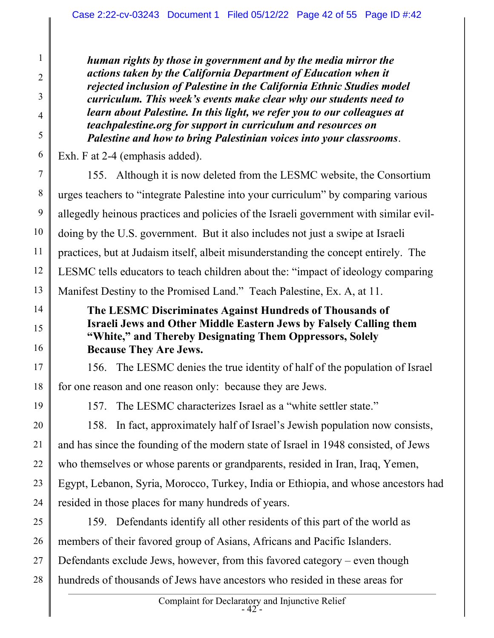human rights by those in government and by the media mirror the actions taken by the California Department of Education when it rejected inclusion of Palestine in the California Ethnic Studies model curriculum. This week's events make clear why our students need to learn about Palestine. In this light, we refer you to our colleagues at teachpalestine.org for support in curriculum and resources on Palestine and how to bring Palestinian voices into your classrooms.

Exh. F at 2-4 (emphasis added).

7 8 9 10 11 12 13 155. Although it is now deleted from the LESMC website, the Consortium urges teachers to "integrate Palestine into your curriculum" by comparing various allegedly heinous practices and policies of the Israeli government with similar evildoing by the U.S. government. But it also includes not just a swipe at Israeli practices, but at Judaism itself, albeit misunderstanding the concept entirely. The LESMC tells educators to teach children about the: "impact of ideology comparing Manifest Destiny to the Promised Land." Teach Palestine, Ex. A, at 11.

## The LESMC Discriminates Against Hundreds of Thousands of Israeli Jews and Other Middle Eastern Jews by Falsely Calling them "White," and Thereby Designating Them Oppressors, Solely Because They Are Jews.

17 18 156. The LESMC denies the true identity of half of the population of Israel for one reason and one reason only: because they are Jews.

19

14

15

16

1

2

3

4

5

6

157. The LESMC characterizes Israel as a "white settler state."

20 21 22 23 24 158. In fact, approximately half of Israel's Jewish population now consists, and has since the founding of the modern state of Israel in 1948 consisted, of Jews who themselves or whose parents or grandparents, resided in Iran, Iraq, Yemen, Egypt, Lebanon, Syria, Morocco, Turkey, India or Ethiopia, and whose ancestors had resided in those places for many hundreds of years.

25 26 27 28 159. Defendants identify all other residents of this part of the world as members of their favored group of Asians, Africans and Pacific Islanders. Defendants exclude Jews, however, from this favored category – even though hundreds of thousands of Jews have ancestors who resided in these areas for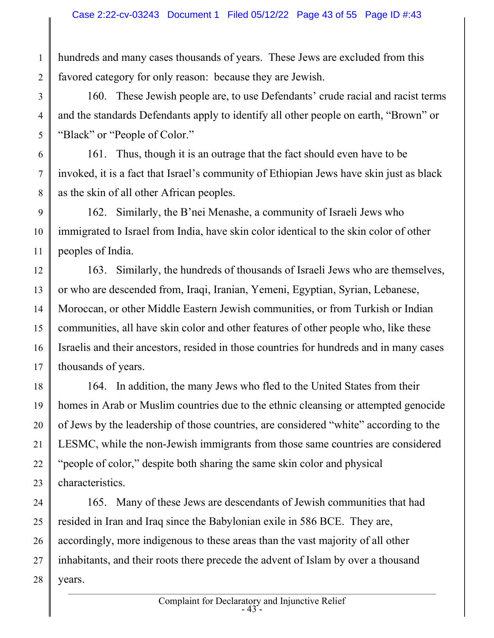hundreds and many cases thousands of years. These Jews are excluded from this favored category for only reason: because they are Jewish.

1

2

3

4

5

6

7

8

160. These Jewish people are, to use Defendants' crude racial and racist terms and the standards Defendants apply to identify all other people on earth, "Brown" or "Black" or "People of Color."

161. Thus, though it is an outrage that the fact should even have to be invoked, it is a fact that Israel's community of Ethiopian Jews have skin just as black as the skin of all other African peoples.

9 10 11 162. Similarly, the B'nei Menashe, a community of Israeli Jews who immigrated to Israel from India, have skin color identical to the skin color of other peoples of India.

12 13 14 15 16 17 163. Similarly, the hundreds of thousands of Israeli Jews who are themselves, or who are descended from, Iraqi, Iranian, Yemeni, Egyptian, Syrian, Lebanese, Moroccan, or other Middle Eastern Jewish communities, or from Turkish or Indian communities, all have skin color and other features of other people who, like these Israelis and their ancestors, resided in those countries for hundreds and in many cases thousands of years.

18 19 20 21 22 23 164. In addition, the many Jews who fled to the United States from their homes in Arab or Muslim countries due to the ethnic cleansing or attempted genocide of Jews by the leadership of those countries, are considered "white" according to the LESMC, while the non-Jewish immigrants from those same countries are considered "people of color," despite both sharing the same skin color and physical characteristics.

24 25 26 27 28 165. Many of these Jews are descendants of Jewish communities that had resided in Iran and Iraq since the Babylonian exile in 586 BCE. They are, accordingly, more indigenous to these areas than the vast majority of all other inhabitants, and their roots there precede the advent of Islam by over a thousand years.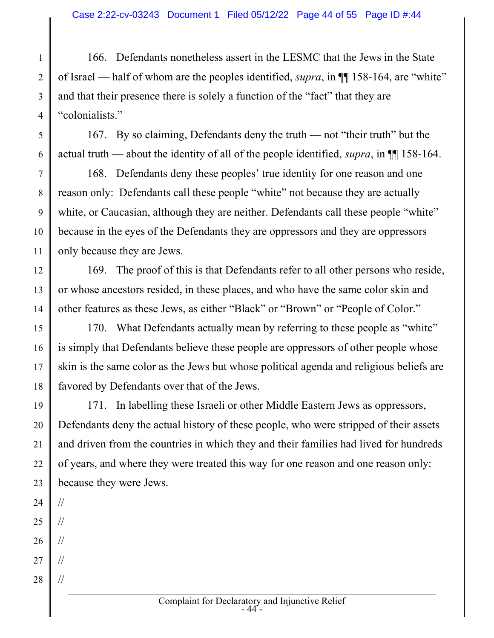1 2 3 4 166. Defendants nonetheless assert in the LESMC that the Jews in the State of Israel — half of whom are the peoples identified, *supra*, in  $\P$  158-164, are "white" and that their presence there is solely a function of the "fact" that they are "colonialists."

167. By so claiming, Defendants deny the truth — not "their truth" but the actual truth — about the identity of all of the people identified, supra, in  $\P$  158-164.

7 8 9 10 11 168. Defendants deny these peoples' true identity for one reason and one reason only: Defendants call these people "white" not because they are actually white, or Caucasian, although they are neither. Defendants call these people "white" because in the eyes of the Defendants they are oppressors and they are oppressors only because they are Jews.

12 13 14 169. The proof of this is that Defendants refer to all other persons who reside, or whose ancestors resided, in these places, and who have the same color skin and other features as these Jews, as either "Black" or "Brown" or "People of Color."

15 16 17 18 170. What Defendants actually mean by referring to these people as "white" is simply that Defendants believe these people are oppressors of other people whose skin is the same color as the Jews but whose political agenda and religious beliefs are favored by Defendants over that of the Jews.

19 20 21 22 23 171. In labelling these Israeli or other Middle Eastern Jews as oppressors, Defendants deny the actual history of these people, who were stripped of their assets and driven from the countries in which they and their families had lived for hundreds of years, and where they were treated this way for one reason and one reason only: because they were Jews.

24 //

5

6

- 25 //
- 26 //
- 27 //
- 28 //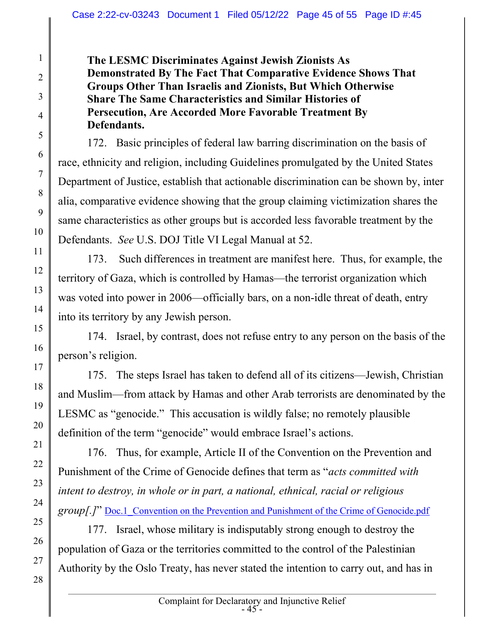The LESMC Discriminates Against Jewish Zionists As Demonstrated By The Fact That Comparative Evidence Shows That Groups Other Than Israelis and Zionists, But Which Otherwise Share The Same Characteristics and Similar Histories of Persecution, Are Accorded More Favorable Treatment By Defendants.

172. Basic principles of federal law barring discrimination on the basis of race, ethnicity and religion, including Guidelines promulgated by the United States Department of Justice, establish that actionable discrimination can be shown by, inter alia, comparative evidence showing that the group claiming victimization shares the same characteristics as other groups but is accorded less favorable treatment by the Defendants. See U.S. DOJ Title VI Legal Manual at 52.

173. Such differences in treatment are manifest here. Thus, for example, the territory of Gaza, which is controlled by Hamas—the terrorist organization which was voted into power in 2006—officially bars, on a non-idle threat of death, entry into its territory by any Jewish person.

174. Israel, by contrast, does not refuse entry to any person on the basis of the person's religion.

175. The steps Israel has taken to defend all of its citizens—Jewish, Christian and Muslim—from attack by Hamas and other Arab terrorists are denominated by the LESMC as "genocide." This accusation is wildly false; no remotely plausible definition of the term "genocide" would embrace Israel's actions.

176. Thus, for example, Article II of the Convention on the Prevention and Punishment of the Crime of Genocide defines that term as "acts committed with intent to destroy, in whole or in part, a national, ethnical, racial or religious group[.]" Doc.1 Convention on the Prevention and Punishment of the Crime of Genocide.pdf

177. Israel, whose military is indisputably strong enough to destroy the population of Gaza or the territories committed to the control of the Palestinian Authority by the Oslo Treaty, has never stated the intention to carry out, and has in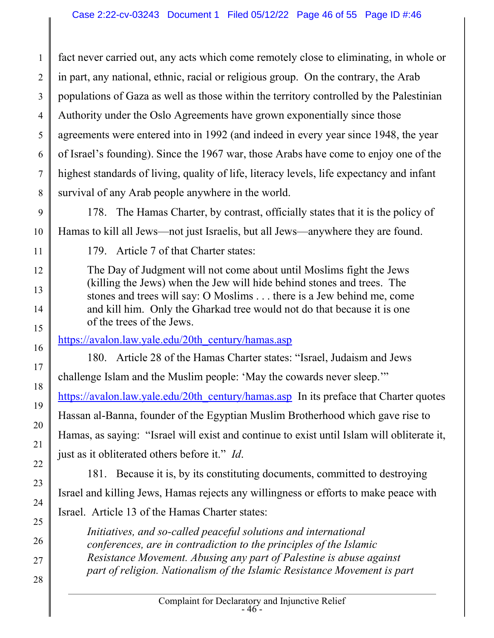1 2 3 4 5 6 7 8 fact never carried out, any acts which come remotely close to eliminating, in whole or in part, any national, ethnic, racial or religious group. On the contrary, the Arab populations of Gaza as well as those within the territory controlled by the Palestinian Authority under the Oslo Agreements have grown exponentially since those agreements were entered into in 1992 (and indeed in every year since 1948, the year of Israel's founding). Since the 1967 war, those Arabs have come to enjoy one of the highest standards of living, quality of life, literacy levels, life expectancy and infant survival of any Arab people anywhere in the world.

9

10

178. The Hamas Charter, by contrast, officially states that it is the policy of Hamas to kill all Jews—not just Israelis, but all Jews—anywhere they are found.

11

12

13

14

15

16

17

18

19

20

21

22

23

24

25

26

27

28

179. Article 7 of that Charter states:

The Day of Judgment will not come about until Moslims fight the Jews (killing the Jews) when the Jew will hide behind stones and trees. The stones and trees will say: O Moslims . . . there is a Jew behind me, come and kill him. Only the Gharkad tree would not do that because it is one of the trees of the Jews.

https://avalon.law.yale.edu/20th\_century/hamas.asp

180. Article 28 of the Hamas Charter states: "Israel, Judaism and Jews challenge Islam and the Muslim people: 'May the cowards never sleep.'" https://avalon.law.yale.edu/20th\_century/hamas.asp In its preface that Charter quotes Hassan al-Banna, founder of the Egyptian Muslim Brotherhood which gave rise to Hamas, as saying: "Israel will exist and continue to exist until Islam will obliterate it, just as it obliterated others before it." Id.

181. Because it is, by its constituting documents, committed to destroying Israel and killing Jews, Hamas rejects any willingness or efforts to make peace with Israel. Article 13 of the Hamas Charter states:

Initiatives, and so-called peaceful solutions and international conferences, are in contradiction to the principles of the Islamic Resistance Movement. Abusing any part of Palestine is abuse against part of religion. Nationalism of the Islamic Resistance Movement is part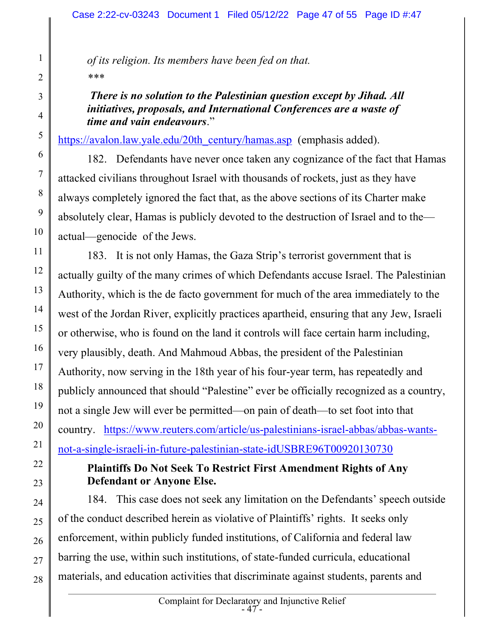of its religion. Its members have been fed on that. \*\*\*

## There is no solution to the Palestinian question except by Jihad. All initiatives, proposals, and International Conferences are a waste of time and vain endeavours."

https://avalon.law.yale.edu/20th\_century/hamas.asp (emphasis added).

182. Defendants have never once taken any cognizance of the fact that Hamas attacked civilians throughout Israel with thousands of rockets, just as they have always completely ignored the fact that, as the above sections of its Charter make absolutely clear, Hamas is publicly devoted to the destruction of Israel and to the actual—genocide of the Jews.

 183. It is not only Hamas, the Gaza Strip's terrorist government that is actually guilty of the many crimes of which Defendants accuse Israel. The Palestinian Authority, which is the de facto government for much of the area immediately to the west of the Jordan River, explicitly practices apartheid, ensuring that any Jew, Israeli or otherwise, who is found on the land it controls will face certain harm including, very plausibly, death. And Mahmoud Abbas, the president of the Palestinian Authority, now serving in the 18th year of his four-year term, has repeatedly and publicly announced that should "Palestine" ever be officially recognized as a country, not a single Jew will ever be permitted—on pain of death—to set foot into that country. https://www.reuters.com/article/us-palestinians-israel-abbas/abbas-wantsnot-a-single-israeli-in-future-palestinian-state-idUSBRE96T00920130730

## Plaintiffs Do Not Seek To Restrict First Amendment Rights of Any Defendant or Anyone Else.

184. This case does not seek any limitation on the Defendants' speech outside of the conduct described herein as violative of Plaintiffs' rights. It seeks only enforcement, within publicly funded institutions, of California and federal law barring the use, within such institutions, of state-funded curricula, educational materials, and education activities that discriminate against students, parents and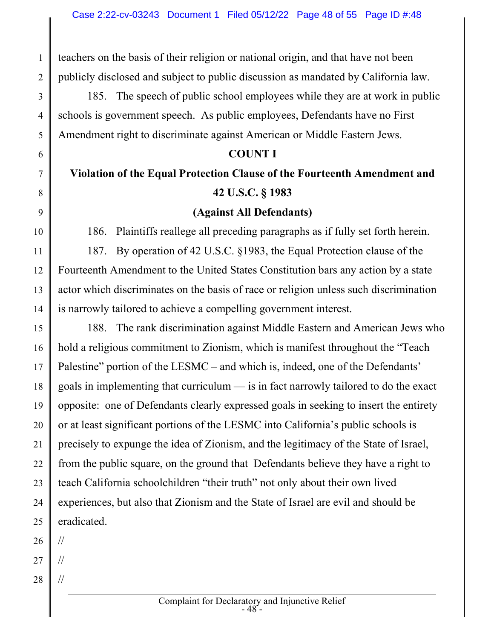teachers on the basis of their religion or national origin, and that have not been publicly disclosed and subject to public discussion as mandated by California law.

 185. The speech of public school employees while they are at work in public schools is government speech. As public employees, Defendants have no First Amendment right to discriminate against American or Middle Eastern Jews.

#### COUNT I

# Violation of the Equal Protection Clause of the Fourteenth Amendment and 42 U.S.C. § 1983

#### (Against All Defendants)

186. Plaintiffs reallege all preceding paragraphs as if fully set forth herein.

187. By operation of 42 U.S.C. §1983, the Equal Protection clause of the Fourteenth Amendment to the United States Constitution bars any action by a state actor which discriminates on the basis of race or religion unless such discrimination is narrowly tailored to achieve a compelling government interest.

15 16 17 18 19 20 21 22 23 24 25 188. The rank discrimination against Middle Eastern and American Jews who hold a religious commitment to Zionism, which is manifest throughout the "Teach Palestine" portion of the LESMC – and which is, indeed, one of the Defendants' goals in implementing that curriculum — is in fact narrowly tailored to do the exact opposite: one of Defendants clearly expressed goals in seeking to insert the entirety or at least significant portions of the LESMC into California's public schools is precisely to expunge the idea of Zionism, and the legitimacy of the State of Israel, from the public square, on the ground that Defendants believe they have a right to teach California schoolchildren "their truth" not only about their own lived experiences, but also that Zionism and the State of Israel are evil and should be eradicated.

26 //

1

2

3

4

5

6

7

8

9

10

11

12

13

14

- 27 //
- 28 //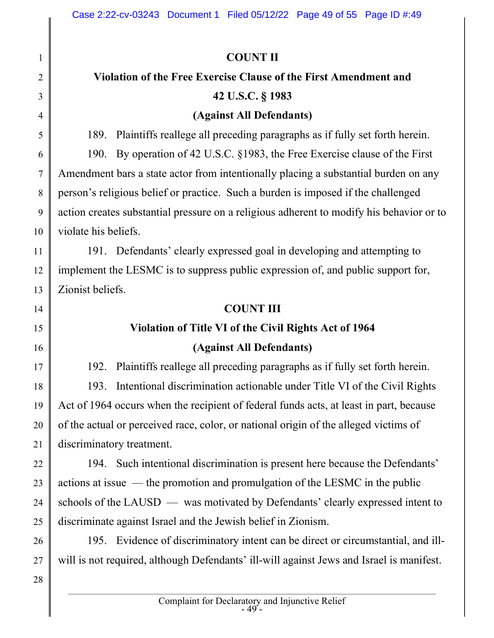1 2 3 4 5 6 7 8 9 10 11 12 13 14 15 16 17 18 19 20 21 22 23 24 25 26 27 28 COUNT II Violation of the Free Exercise Clause of the First Amendment and 42 U.S.C. § 1983 (Against All Defendants) 189. Plaintiffs reallege all preceding paragraphs as if fully set forth herein. 190. By operation of 42 U.S.C. §1983, the Free Exercise clause of the First Amendment bars a state actor from intentionally placing a substantial burden on any person's religious belief or practice. Such a burden is imposed if the challenged action creates substantial pressure on a religious adherent to modify his behavior or to violate his beliefs. 191. Defendants' clearly expressed goal in developing and attempting to implement the LESMC is to suppress public expression of, and public support for, Zionist beliefs. COUNT III Violation of Title VI of the Civil Rights Act of 1964 (Against All Defendants) 192. Plaintiffs reallege all preceding paragraphs as if fully set forth herein. 193. Intentional discrimination actionable under Title VI of the Civil Rights Act of 1964 occurs when the recipient of federal funds acts, at least in part, because of the actual or perceived race, color, or national origin of the alleged victims of discriminatory treatment. 194. Such intentional discrimination is present here because the Defendants' actions at issue — the promotion and promulgation of the LESMC in the public schools of the LAUSD — was motivated by Defendants' clearly expressed intent to discriminate against Israel and the Jewish belief in Zionism. 195. Evidence of discriminatory intent can be direct or circumstantial, and illwill is not required, although Defendants' ill-will against Jews and Israel is manifest.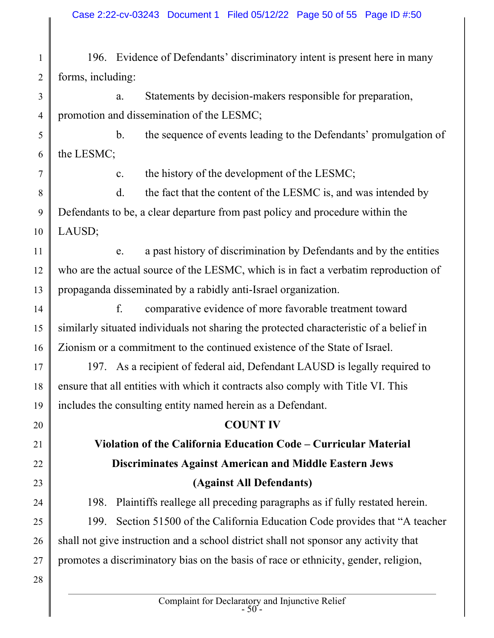1 2 196. Evidence of Defendants' discriminatory intent is present here in many forms, including:

3 4 a. Statements by decision-makers responsible for preparation, promotion and dissemination of the LESMC;

5 6 b. the sequence of events leading to the Defendants' promulgation of the LESMC;

7

c. the history of the development of the LESMC;

8 9 10 d. the fact that the content of the LESMC is, and was intended by Defendants to be, a clear departure from past policy and procedure within the LAUSD;

11 12 13 e. a past history of discrimination by Defendants and by the entities who are the actual source of the LESMC, which is in fact a verbatim reproduction of propaganda disseminated by a rabidly anti-Israel organization.

14 15 16 f. comparative evidence of more favorable treatment toward similarly situated individuals not sharing the protected characteristic of a belief in Zionism or a commitment to the continued existence of the State of Israel.

17 18 19 197. As a recipient of federal aid, Defendant LAUSD is legally required to ensure that all entities with which it contracts also comply with Title VI. This includes the consulting entity named herein as a Defendant.

## COUNT IV Violation of the California Education Code – Curricular Material Discriminates Against American and Middle Eastern Jews (Against All Defendants)

198. Plaintiffs reallege all preceding paragraphs as if fully restated herein.

25 26 27 199. Section 51500 of the California Education Code provides that "A teacher shall not give instruction and a school district shall not sponsor any activity that promotes a discriminatory bias on the basis of race or ethnicity, gender, religion,

28

20

21

22

23

24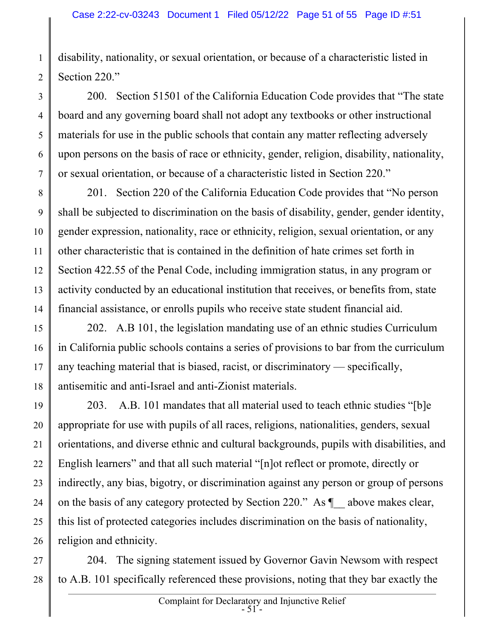disability, nationality, or sexual orientation, or because of a characteristic listed in Section 220."

1

2

3

4

5

6

7

200. Section 51501 of the California Education Code provides that "The state board and any governing board shall not adopt any textbooks or other instructional materials for use in the public schools that contain any matter reflecting adversely upon persons on the basis of race or ethnicity, gender, religion, disability, nationality, or sexual orientation, or because of a characteristic listed in Section 220."

8 9 10 11 12 13 14 201. Section 220 of the California Education Code provides that "No person shall be subjected to discrimination on the basis of disability, gender, gender identity, gender expression, nationality, race or ethnicity, religion, sexual orientation, or any other characteristic that is contained in the definition of hate crimes set forth in Section 422.55 of the Penal Code, including immigration status, in any program or activity conducted by an educational institution that receives, or benefits from, state financial assistance, or enrolls pupils who receive state student financial aid.

15 16 17 18 202. A.B 101, the legislation mandating use of an ethnic studies Curriculum in California public schools contains a series of provisions to bar from the curriculum any teaching material that is biased, racist, or discriminatory — specifically, antisemitic and anti-Israel and anti-Zionist materials.

19 20 21 22 23 24 25 26 203. A.B. 101 mandates that all material used to teach ethnic studies "[b]e appropriate for use with pupils of all races, religions, nationalities, genders, sexual orientations, and diverse ethnic and cultural backgrounds, pupils with disabilities, and English learners" and that all such material "[n]ot reflect or promote, directly or indirectly, any bias, bigotry, or discrimination against any person or group of persons on the basis of any category protected by Section 220." As  $\P$  above makes clear, this list of protected categories includes discrimination on the basis of nationality, religion and ethnicity.

27 28 204. The signing statement issued by Governor Gavin Newsom with respect to A.B. 101 specifically referenced these provisions, noting that they bar exactly the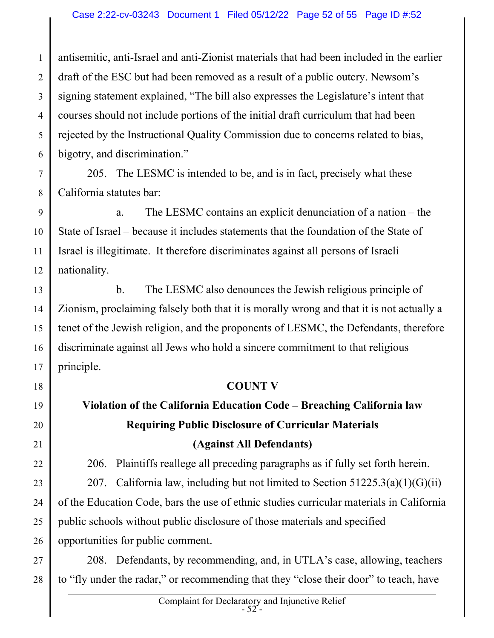1 2 3 4 5 6 antisemitic, anti-Israel and anti-Zionist materials that had been included in the earlier draft of the ESC but had been removed as a result of a public outcry. Newsom's signing statement explained, "The bill also expresses the Legislature's intent that courses should not include portions of the initial draft curriculum that had been rejected by the Instructional Quality Commission due to concerns related to bias, bigotry, and discrimination."

7 8

18

19

20

21

22

23

24

25

26

205. The LESMC is intended to be, and is in fact, precisely what these California statutes bar:

9 10 11 12 a. The LESMC contains an explicit denunciation of a nation – the State of Israel – because it includes statements that the foundation of the State of Israel is illegitimate. It therefore discriminates against all persons of Israeli nationality.

13 14 15 16 17 b. The LESMC also denounces the Jewish religious principle of Zionism, proclaiming falsely both that it is morally wrong and that it is not actually a tenet of the Jewish religion, and the proponents of LESMC, the Defendants, therefore discriminate against all Jews who hold a sincere commitment to that religious principle.

#### COUNT V

## Violation of the California Education Code – Breaching California law Requiring Public Disclosure of Curricular Materials (Against All Defendants)

206. Plaintiffs reallege all preceding paragraphs as if fully set forth herein.

207. California law, including but not limited to Section  $51225.3(a)(1)(G)(ii)$ of the Education Code, bars the use of ethnic studies curricular materials in California public schools without public disclosure of those materials and specified opportunities for public comment.

27 28 208. Defendants, by recommending, and, in UTLA's case, allowing, teachers to "fly under the radar," or recommending that they "close their door" to teach, have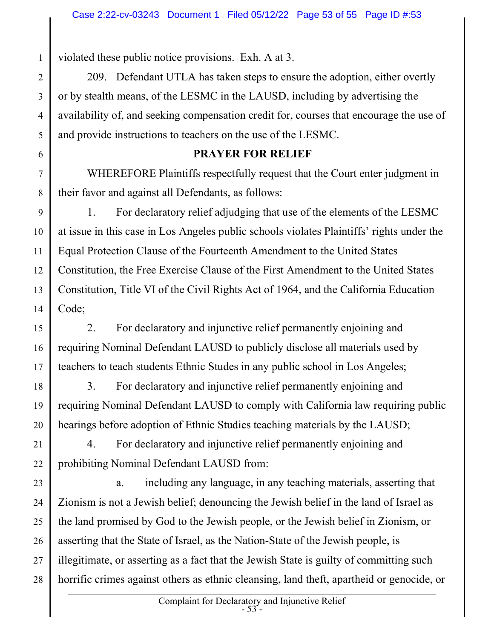violated these public notice provisions. Exh. A at 3.

1

2

3

4

5

6

7

8

 209. Defendant UTLA has taken steps to ensure the adoption, either overtly or by stealth means, of the LESMC in the LAUSD, including by advertising the availability of, and seeking compensation credit for, courses that encourage the use of and provide instructions to teachers on the use of the LESMC.

#### PRAYER FOR RELIEF

WHEREFORE Plaintiffs respectfully request that the Court enter judgment in their favor and against all Defendants, as follows:

9 10 11 12 13 14 1. For declaratory relief adjudging that use of the elements of the LESMC at issue in this case in Los Angeles public schools violates Plaintiffs' rights under the Equal Protection Clause of the Fourteenth Amendment to the United States Constitution, the Free Exercise Clause of the First Amendment to the United States Constitution, Title VI of the Civil Rights Act of 1964, and the California Education Code;

15 16 17 2. For declaratory and injunctive relief permanently enjoining and requiring Nominal Defendant LAUSD to publicly disclose all materials used by teachers to teach students Ethnic Studes in any public school in Los Angeles;

18 19 20 3. For declaratory and injunctive relief permanently enjoining and requiring Nominal Defendant LAUSD to comply with California law requiring public hearings before adoption of Ethnic Studies teaching materials by the LAUSD;

21 22 4. For declaratory and injunctive relief permanently enjoining and prohibiting Nominal Defendant LAUSD from:

23 24 25 26 27 28 a. including any language, in any teaching materials, asserting that Zionism is not a Jewish belief; denouncing the Jewish belief in the land of Israel as the land promised by God to the Jewish people, or the Jewish belief in Zionism, or asserting that the State of Israel, as the Nation-State of the Jewish people, is illegitimate, or asserting as a fact that the Jewish State is guilty of committing such horrific crimes against others as ethnic cleansing, land theft, apartheid or genocide, or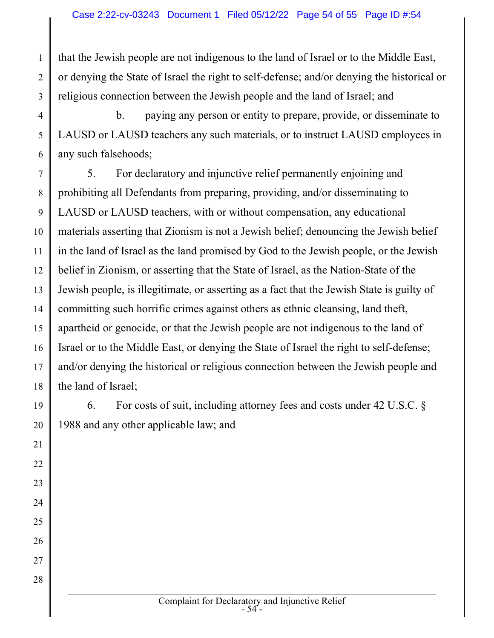1 2 3 that the Jewish people are not indigenous to the land of Israel or to the Middle East, or denying the State of Israel the right to self-defense; and/or denying the historical or religious connection between the Jewish people and the land of Israel; and

4 5 6 b. paying any person or entity to prepare, provide, or disseminate to LAUSD or LAUSD teachers any such materials, or to instruct LAUSD employees in any such falsehoods;

7 8 9 10 11 12 13 14 15 16 17 18 5. For declaratory and injunctive relief permanently enjoining and prohibiting all Defendants from preparing, providing, and/or disseminating to LAUSD or LAUSD teachers, with or without compensation, any educational materials asserting that Zionism is not a Jewish belief; denouncing the Jewish belief in the land of Israel as the land promised by God to the Jewish people, or the Jewish belief in Zionism, or asserting that the State of Israel, as the Nation-State of the Jewish people, is illegitimate, or asserting as a fact that the Jewish State is guilty of committing such horrific crimes against others as ethnic cleansing, land theft, apartheid or genocide, or that the Jewish people are not indigenous to the land of Israel or to the Middle East, or denying the State of Israel the right to self-defense; and/or denying the historical or religious connection between the Jewish people and the land of Israel;

6. For costs of suit, including attorney fees and costs under 42 U.S.C. §

1988 and any other applicable law; and

23

24

25

26

27

28

Complaint for Declaratory and Injunctive Relief  $-54$ <sup>-</sup>